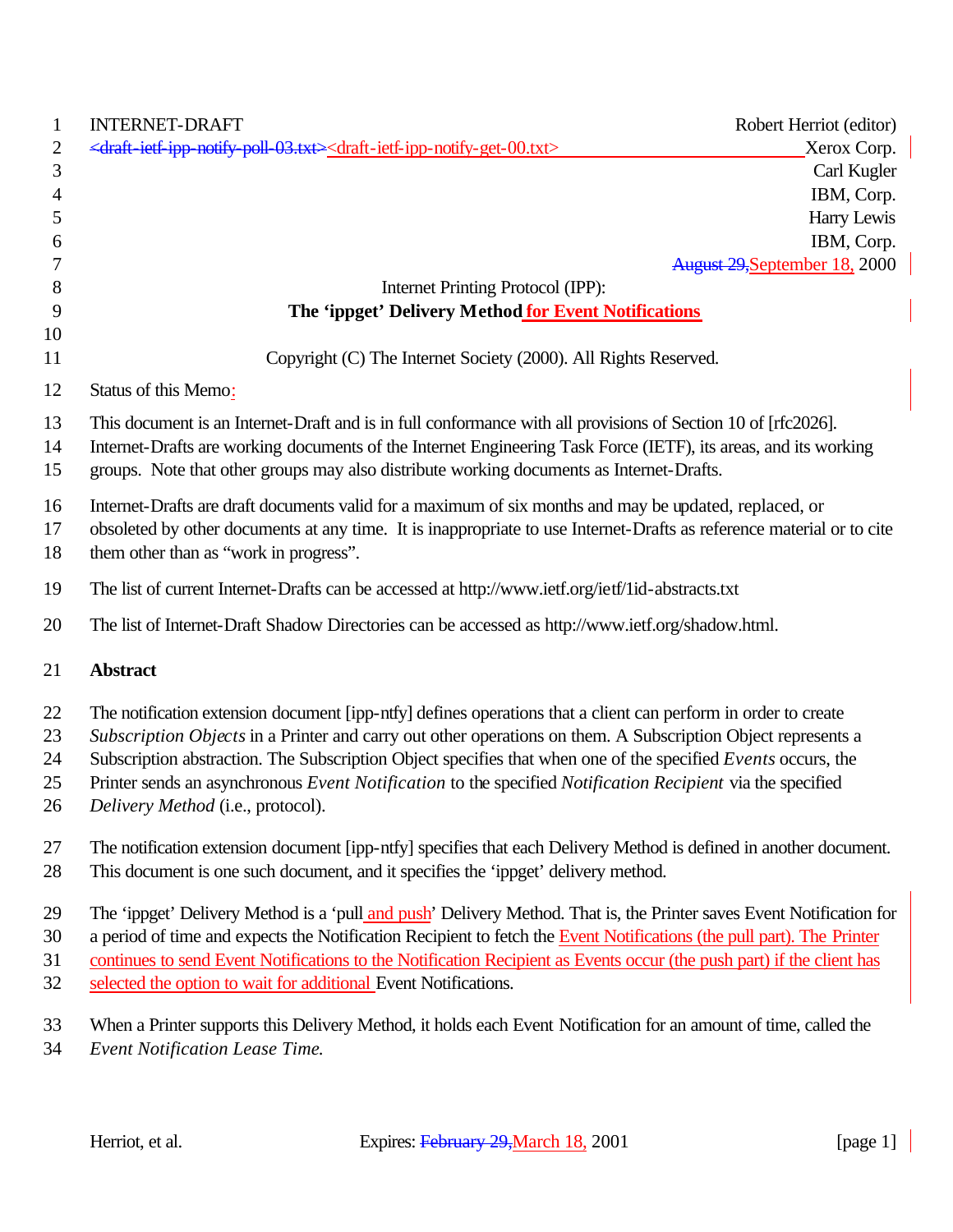| <b>INTERNET-DRAFT</b>                                                                                                                                                                                                                                                                                                        | Robert Herriot (editor)       |
|------------------------------------------------------------------------------------------------------------------------------------------------------------------------------------------------------------------------------------------------------------------------------------------------------------------------------|-------------------------------|
| <draft-ietf-ipp-notify-poll-03.txt><draft-ietf-ipp-notify-get-00.txt></draft-ietf-ipp-notify-get-00.txt></draft-ietf-ipp-notify-poll-03.txt>                                                                                                                                                                                 | Xerox Corp.                   |
|                                                                                                                                                                                                                                                                                                                              | Carl Kugler                   |
|                                                                                                                                                                                                                                                                                                                              | IBM, Corp.                    |
|                                                                                                                                                                                                                                                                                                                              | Harry Lewis                   |
|                                                                                                                                                                                                                                                                                                                              | IBM, Corp.                    |
|                                                                                                                                                                                                                                                                                                                              | August 29, September 18, 2000 |
| Internet Printing Protocol (IPP):                                                                                                                                                                                                                                                                                            |                               |
| The 'ippget' Delivery Method for Event Notifications                                                                                                                                                                                                                                                                         |                               |
|                                                                                                                                                                                                                                                                                                                              |                               |
| Copyright (C) The Internet Society (2000). All Rights Reserved.                                                                                                                                                                                                                                                              |                               |
| Status of this Memo:                                                                                                                                                                                                                                                                                                         |                               |
| This document is an Internet-Draft and is in full conformance with all provisions of Section 10 of [rfc2026].<br>Internet-Drafts are working documents of the Internet Engineering Task Force (IETF), its areas, and its working<br>groups. Note that other groups may also distribute working documents as Internet-Drafts. |                               |
| Internet-Drafts are draft documents valid for a maximum of six months and may be updated, replaced, or                                                                                                                                                                                                                       |                               |
| obsoleted by other documents at any time. It is inappropriate to use Internet-Drafts as reference material or to cite                                                                                                                                                                                                        |                               |
| them other than as "work in progress".                                                                                                                                                                                                                                                                                       |                               |
| The list of current Internet-Drafts can be accessed at http://www.ietf.org/ietf/1id-abstracts.txt                                                                                                                                                                                                                            |                               |
| The list of Internet-Draft Shadow Directories can be accessed as http://www.ietf.org/shadow.html.                                                                                                                                                                                                                            |                               |
| <b>Abstract</b>                                                                                                                                                                                                                                                                                                              |                               |
| The notification extension document [ipp-ntfy] defines operations that a client can perform in order to create                                                                                                                                                                                                               |                               |
| Subscription Objects in a Printer and carry out other operations on them. A Subscription Object represents a                                                                                                                                                                                                                 |                               |
| Subscription abstraction. The Subscription Object specifies that when one of the specified Events occurs, the                                                                                                                                                                                                                |                               |
| Printer sends an asynchronous Event Notification to the specified Notification Recipient via the specified                                                                                                                                                                                                                   |                               |
| Delivery Method (i.e., protocol).                                                                                                                                                                                                                                                                                            |                               |
| The notification extension document [ipp-ntfy] specifies that each Delivery Method is defined in another document.                                                                                                                                                                                                           |                               |
| This document is one such document, and it specifies the 'ippget' delivery method.                                                                                                                                                                                                                                           |                               |
|                                                                                                                                                                                                                                                                                                                              |                               |
| The 'ippget' Delivery Method is a 'pull and push' Delivery Method. That is, the Printer saves Event Notification for                                                                                                                                                                                                         |                               |
| a period of time and expects the Notification Recipient to fetch the Event Notifications (the pull part). The Printer                                                                                                                                                                                                        |                               |
| continues to send Event Notifications to the Notification Recipient as Events occur (the push part) if the client has                                                                                                                                                                                                        |                               |
| selected the option to wait for additional Event Notifications.                                                                                                                                                                                                                                                              |                               |
| When a Printer supports this Delivery Method, it holds each Event Notification for an amount of time, called the<br><b>Event Notification Lease Time.</b>                                                                                                                                                                    |                               |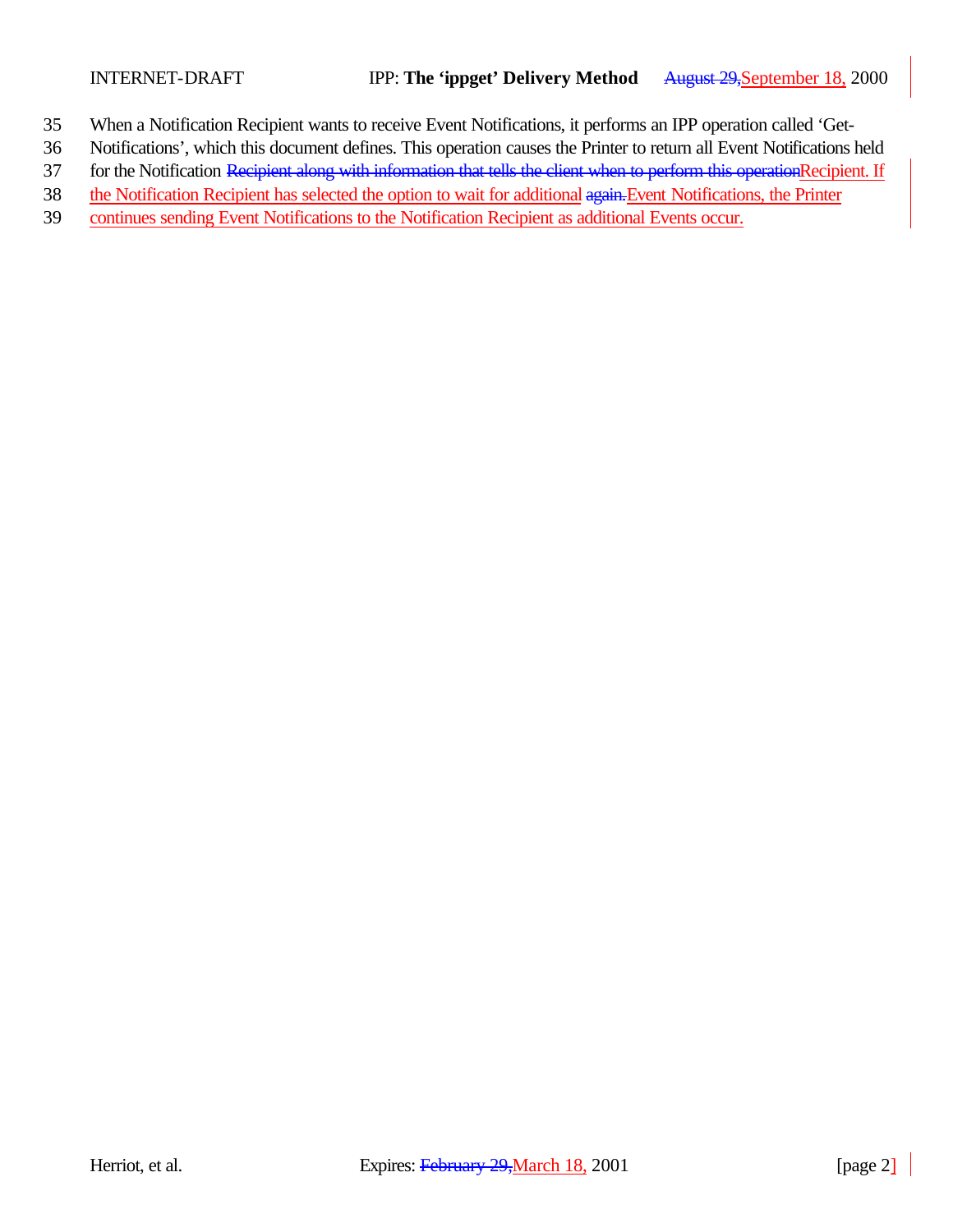- 35 When a Notification Recipient wants to receive Event Notifications, it performs an IPP operation called 'Get-
- 36 Notifications', which this document defines. This operation causes the Printer to return all Event Notifications held
- 37 for the Notification Recipient along with information that tells the client when to perform this operationRecipient. If
- 38 the Notification Recipient has selected the option to wait for additional again. Event Notifications, the Printer
- 39 continues sending Event Notifications to the Notification Recipient as additional Events occur.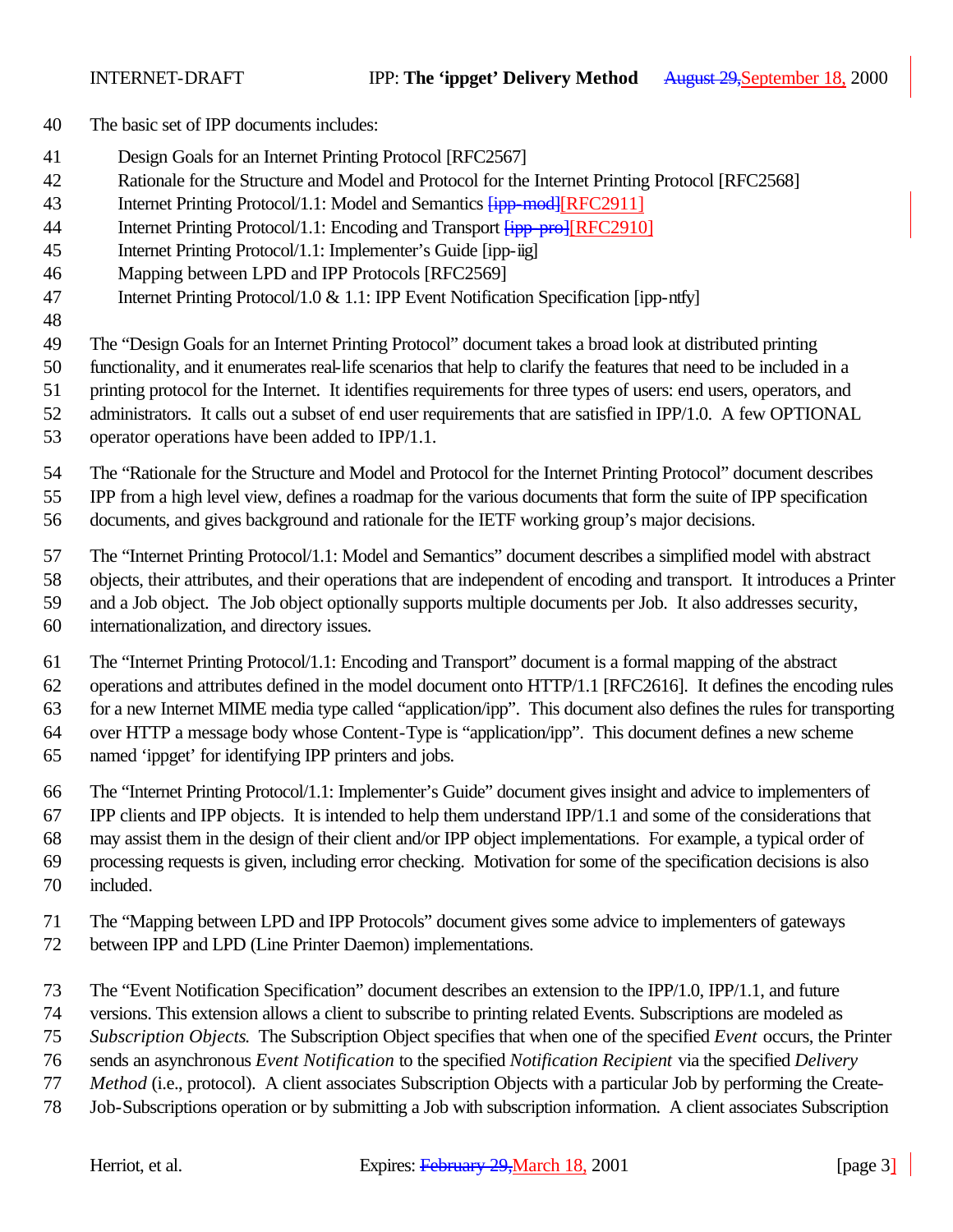- The basic set of IPP documents includes:
- Design Goals for an Internet Printing Protocol [RFC2567]
- Rationale for the Structure and Model and Protocol for the Internet Printing Protocol [RFC2568]
- 43 Internet Printing Protocol/1.1: Model and Semantics  $\frac{1}{1}$  mod [RFC2911]
- 44 Internet Printing Protocol/1.1: Encoding and Transport  $\frac{1}{1}$  [IFFC2910]
- Internet Printing Protocol/1.1: Implementer's Guide [ipp-iig]
- Mapping between LPD and IPP Protocols [RFC2569]
- Internet Printing Protocol/1.0 & 1.1: IPP Event Notification Specification [ipp-ntfy]
- 

The "Design Goals for an Internet Printing Protocol" document takes a broad look at distributed printing

functionality, and it enumerates real-life scenarios that help to clarify the features that need to be included in a

- printing protocol for the Internet. It identifies requirements for three types of users: end users, operators, and
- administrators. It calls out a subset of end user requirements that are satisfied in IPP/1.0. A few OPTIONAL
- operator operations have been added to IPP/1.1.

The "Rationale for the Structure and Model and Protocol for the Internet Printing Protocol" document describes

IPP from a high level view, defines a roadmap for the various documents that form the suite of IPP specification

documents, and gives background and rationale for the IETF working group's major decisions.

The "Internet Printing Protocol/1.1: Model and Semantics" document describes a simplified model with abstract

objects, their attributes, and their operations that are independent of encoding and transport. It introduces a Printer

- and a Job object. The Job object optionally supports multiple documents per Job. It also addresses security,
- internationalization, and directory issues.

The "Internet Printing Protocol/1.1: Encoding and Transport" document is a formal mapping of the abstract

operations and attributes defined in the model document onto HTTP/1.1 [RFC2616]. It defines the encoding rules

for a new Internet MIME media type called "application/ipp". This document also defines the rules for transporting

over HTTP a message body whose Content-Type is "application/ipp". This document defines a new scheme

named 'ippget' for identifying IPP printers and jobs.

The "Internet Printing Protocol/1.1: Implementer's Guide" document gives insight and advice to implementers of

IPP clients and IPP objects. It is intended to help them understand IPP/1.1 and some of the considerations that

may assist them in the design of their client and/or IPP object implementations. For example, a typical order of

processing requests is given, including error checking. Motivation for some of the specification decisions is also

- included.
- The "Mapping between LPD and IPP Protocols" document gives some advice to implementers of gateways
- between IPP and LPD (Line Printer Daemon) implementations.
- The "Event Notification Specification" document describes an extension to the IPP/1.0, IPP/1.1, and future
- versions. This extension allows a client to subscribe to printing related Events. Subscriptions are modeled as
- *Subscription Objects*. The Subscription Object specifies that when one of the specified *Event* occurs, the Printer
- sends an asynchronous *Event Notification* to the specified *Notification Recipient* via the specified *Delivery*
- *Method* (i.e., protocol). A client associates Subscription Objects with a particular Job by performing the Create-
- Job-Subscriptions operation or by submitting a Job with subscription information. A client associates Subscription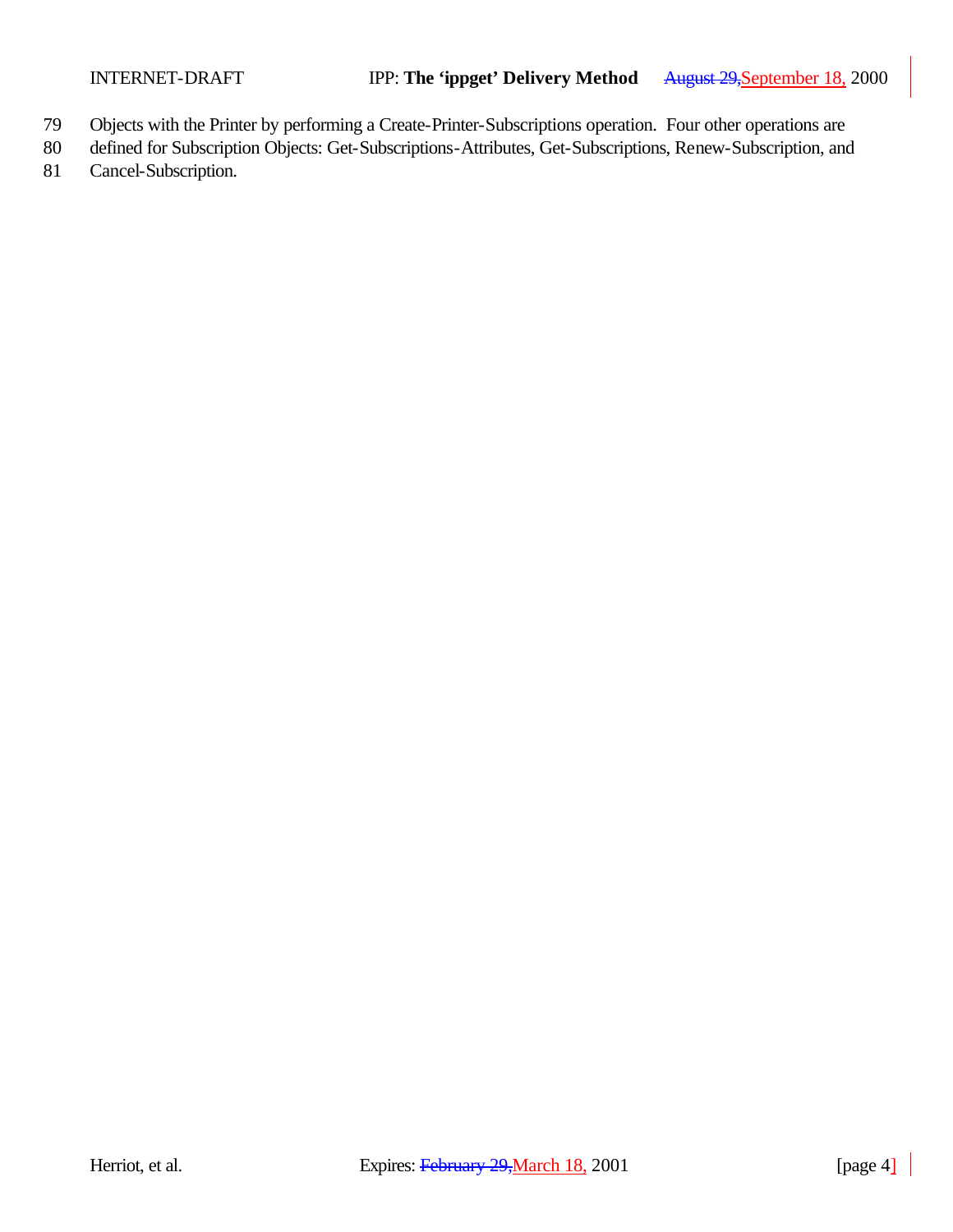- 79 Objects with the Printer by performing a Create-Printer-Subscriptions operation. Four other operations are
- 80 defined for Subscription Objects: Get-Subscriptions-Attributes, Get-Subscriptions, Renew-Subscription, and
- 81 Cancel-Subscription.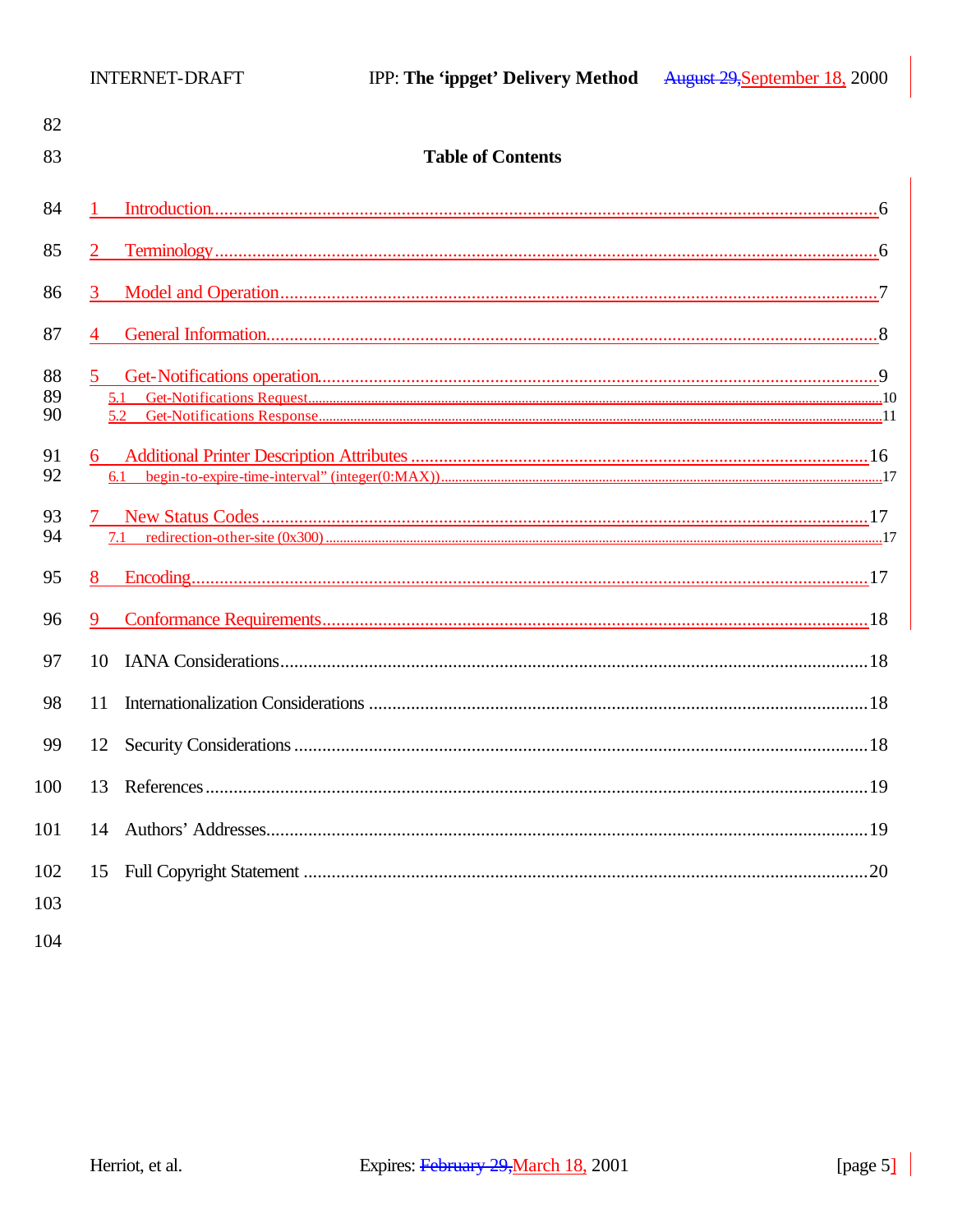| 82             |                              |  |
|----------------|------------------------------|--|
| 83             | <b>Table of Contents</b>     |  |
| 84             |                              |  |
| 85             | $\overline{2}$               |  |
| 86             | 3 <sup>1</sup>               |  |
| 87             | 4                            |  |
| 88<br>89<br>90 | 5 <sup>1</sup><br>5.1<br>5.2 |  |
| 91<br>92       | 6                            |  |
| 93<br>94       |                              |  |
| 95             | 8                            |  |
| 96             | 9                            |  |
| 97             | 10                           |  |
| 98             | 11                           |  |
| 99             | 12                           |  |
| 100            | 13                           |  |
| 101            |                              |  |
| 102<br>103     |                              |  |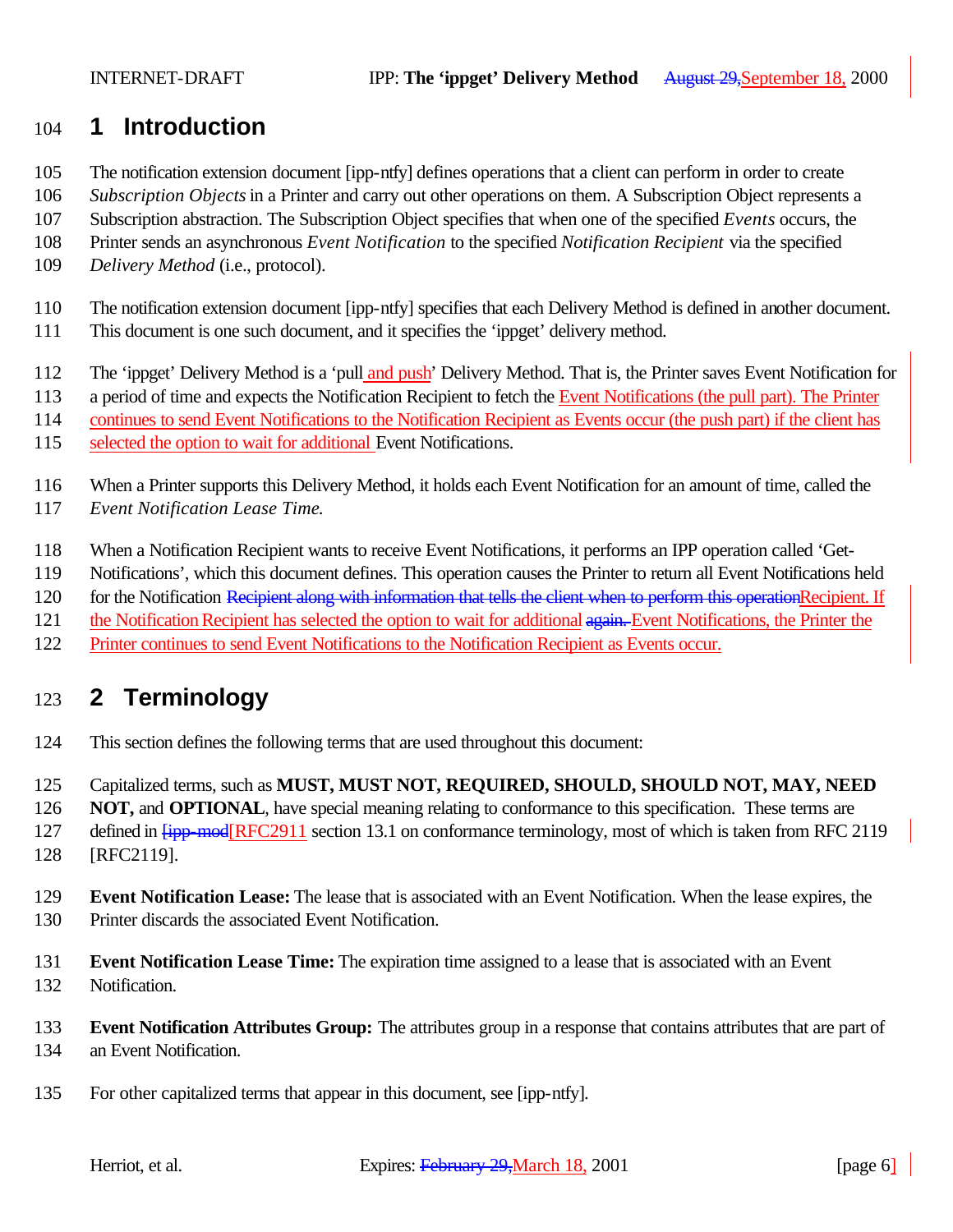### **1 Introduction**

- The notification extension document [ipp-ntfy] defines operations that a client can perform in order to create
- *Subscription Objects* in a Printer and carry out other operations on them. A Subscription Object represents a
- Subscription abstraction. The Subscription Object specifies that when one of the specified *Events* occurs, the
- Printer sends an asynchronous *Event Notification* to the specified *Notification Recipient* via the specified
- *Delivery Method* (i.e., protocol).
- The notification extension document [ipp-ntfy] specifies that each Delivery Method is defined in another document.
- This document is one such document, and it specifies the 'ippget' delivery method.
- The 'ippget' Delivery Method is a 'pull and push' Delivery Method. That is, the Printer saves Event Notification for
- a period of time and expects the Notification Recipient to fetch the Event Notifications (the pull part). The Printer
- continues to send Event Notifications to the Notification Recipient as Events occur (the push part) if the client has
- selected the option to wait for additional Event Notifications.
- When a Printer supports this Delivery Method, it holds each Event Notification for an amount of time, called the *Event Notification Lease Time*.
- When a Notification Recipient wants to receive Event Notifications, it performs an IPP operation called 'Get-
- Notifications', which this document defines. This operation causes the Printer to return all Event Notifications held
- 120 for the Notification Recipient along with information that tells the client when to perform this operationRecipient. If
- 121 the Notification Recipient has selected the option to wait for additional again. Event Notifications, the Printer the
- Printer continues to send Event Notifications to the Notification Recipient as Events occur.

# **2 Terminology**

- This section defines the following terms that are used throughout this document:
- Capitalized terms, such as **MUST, MUST NOT, REQUIRED, SHOULD, SHOULD NOT, MAY, NEED**
- **NOT, and OPTIONAL**, have special meaning relating to conformance to this specification. These terms are
- 127 defined in  $f_{\text{ipp-mod}}$ [RFC2911 section 13.1 on conformance terminology, most of which is taken from RFC 2119
- [RFC2119].
- **Event Notification Lease:** The lease that is associated with an Event Notification. When the lease expires, the Printer discards the associated Event Notification.
- **Event Notification Lease Time:** The expiration time assigned to a lease that is associated with an Event Notification.
- **Event Notification Attributes Group:** The attributes group in a response that contains attributes that are part of an Event Notification.
- For other capitalized terms that appear in this document, see [ipp-ntfy].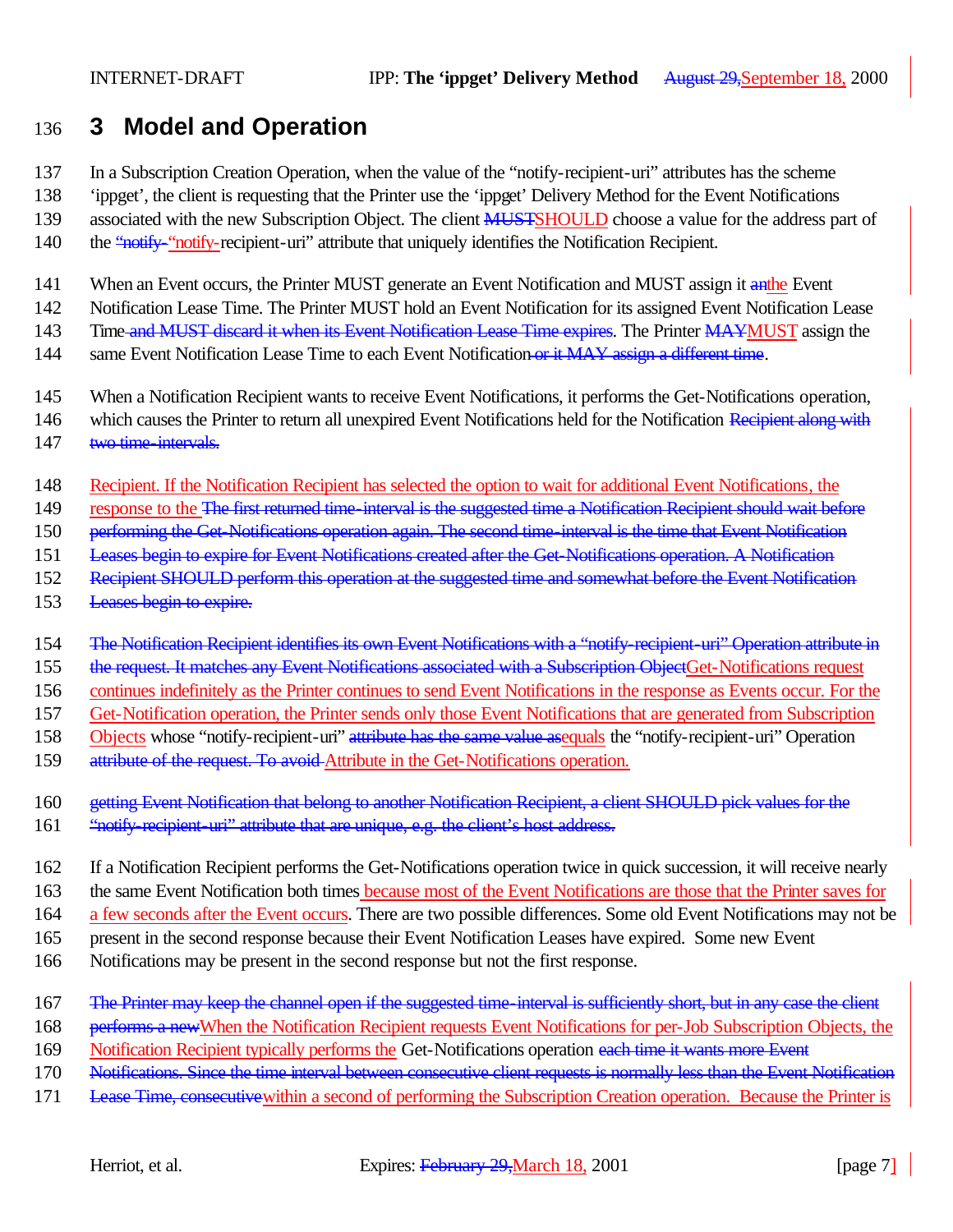### 136 **3 Model and Operation**

137 In a Subscription Creation Operation, when the value of the "notify-recipient-uri" attributes has the scheme

138 'ippget', the client is requesting that the Printer use the 'ippget' Delivery Method for the Event Notifications

139 associated with the new Subscription Object. The client **MUSTSHOULD** choose a value for the address part of

140 the "notify-"notify-recipient-uri" attribute that uniquely identifies the Notification Recipient.

141 When an Event occurs, the Printer MUST generate an Event Notification and MUST assign it anthe Event

142 Notification Lease Time. The Printer MUST hold an Event Notification for its assigned Event Notification Lease

143 Time-and MUST discard it when its Event Notification Lease Time expires. The Printer MAYMUST assign the

144 same Event Notification Lease Time to each Event Notification or it MAY assign a different time.

145 When a Notification Recipient wants to receive Event Notifications, it performs the Get-Notifications operation,

146 which causes the Printer to return all unexpired Event Notifications held for the Notification Recipient along with

147 two time-intervals.

148 Recipient. If the Notification Recipient has selected the option to wait for additional Event Notifications, the

149 response to the The first returned time-interval is the suggested time a Notification Recipient should wait before

150 performing the Get-Notifications operation again. The second time-interval is the time that Event Notification

151 Leases begin to expire for Event Notifications created after the Get-Notifications operation. A Notification

152 Recipient SHOULD perform this operation at the suggested time and somewhat before the Event Notification

153 Leases begin to expire.

154 The Notification Recipient identifies its own Event Notifications with a "notify-recipient-uri" Operation attribute in

155 the request. It matches any Event Notifications associated with a Subscription ObjectGet-Notifications request

156 continues indefinitely as the Printer continues to send Event Notifications in the response as Events occur. For the

157 Get-Notification operation, the Printer sends only those Event Notifications that are generated from Subscription

158 Objects whose "notify-recipient-uri" attribute has the same value asequals the "notify-recipient-uri" Operation

159 attribute of the request. To avoid Attribute in the Get-Notifications operation.

160 getting Event Notification that belong to another Notification Recipient, a client SHOULD pick values for the

161 "notify-recipient-uri" attribute that are unique, e.g. the client's host address.

162 If a Notification Recipient performs the Get-Notifications operation twice in quick succession, it will receive nearly

163 the same Event Notification both times because most of the Event Notifications are those that the Printer saves for

164 a few seconds after the Event occurs. There are two possible differences. Some old Event Notifications may not be

165 present in the second response because their Event Notification Leases have expired. Some new Event

166 Notifications may be present in the second response but not the first response.

167 The Printer may keep the channel open if the suggested time-interval is sufficiently short, but in any case the client

168 performs a new When the Notification Recipient requests Event Notifications for per-Job Subscription Objects, the

169 Notification Recipient typically performs the Get-Notifications operation each time it wants more Event

170 Notifications. Since the time interval between consecutive client requests is normally less than the Event Notification

171 Lease Time, consecutivewithin a second of performing the Subscription Creation operation. Because the Printer is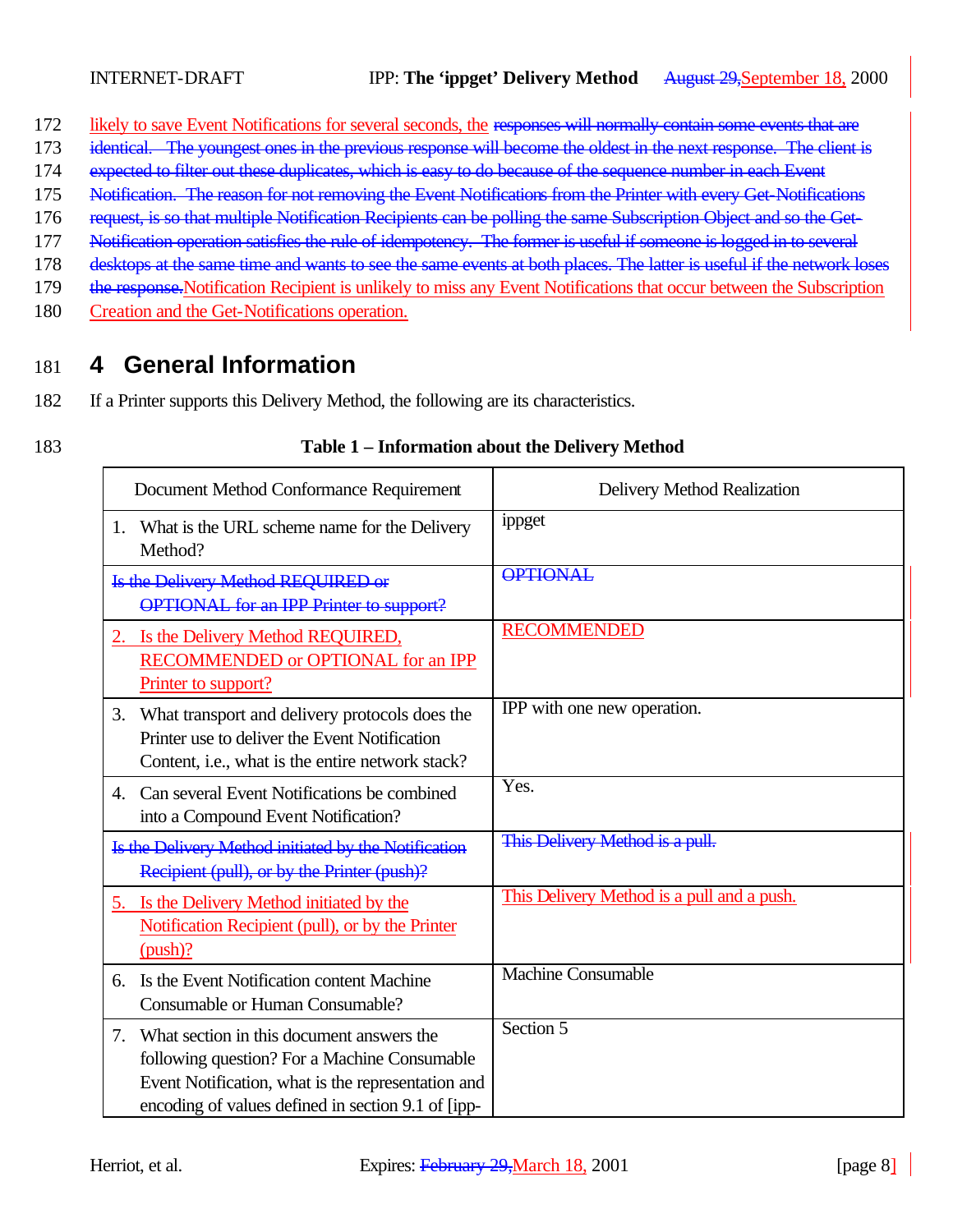- 172 likely to save Event Notifications for several seconds, the responses will normally contain some events that are
- 173 identical. The youngest ones in the previous response will become the oldest in the next response. The client is
- 174 expected to filter out these duplicates, which is easy to do because of the sequence number in each Event
- 175 Notification. The reason for not removing the Event Notifications from the Printer with every Get-Notifications
- 176 request, is so that multiple Notification Recipients can be polling the same Subscription Object and so the Get-
- 177 Notification operation satisfies the rule of idempotency. The former is useful if someone is logged in to several
- 178 desktops at the same time and wants to see the same events at both places. The latter is useful if the network loses
- 179 the response. Notification Recipient is unlikely to miss any Event Notifications that occur between the Subscription
- 180 Creation and the Get-Notifications operation.

# 181 **4 General Information**

- 182 If a Printer supports this Delivery Method, the following are its characteristics.
- 

#### 183 **Table 1 – Information about the Delivery Method**

| Document Method Conformance Requirement                                                                                                                                                                     | Delivery Method Realization                |
|-------------------------------------------------------------------------------------------------------------------------------------------------------------------------------------------------------------|--------------------------------------------|
| 1. What is the URL scheme name for the Delivery<br>Method?                                                                                                                                                  | ippget                                     |
| Is the Delivery Method REQUIRED or<br><b>OPTIONAL</b> for an IPP Printer to support?                                                                                                                        | <b>OPTIONAL</b>                            |
| 2. Is the Delivery Method REQUIRED,<br>RECOMMENDED or OPTIONAL for an IPP<br>Printer to support?                                                                                                            | <b>RECOMMENDED</b>                         |
| What transport and delivery protocols does the<br>3.<br>Printer use to deliver the Event Notification<br>Content, <i>i.e.</i> , what is the entire network stack?                                           | IPP with one new operation.                |
| Can several Event Notifications be combined<br>4.<br>into a Compound Event Notification?                                                                                                                    | Yes.                                       |
| Is the Delivery Method initiated by the Notification<br>Recipient (pull), or by the Printer (push)?                                                                                                         | This Delivery Method is a pull.            |
| 5. Is the Delivery Method initiated by the<br>Notification Recipient (pull), or by the Printer<br>$(push)$ ?                                                                                                | This Delivery Method is a pull and a push. |
| Is the Event Notification content Machine<br>б.<br>Consumable or Human Consumable?                                                                                                                          | <b>Machine Consumable</b>                  |
| What section in this document answers the<br>7.<br>following question? For a Machine Consumable<br>Event Notification, what is the representation and<br>encoding of values defined in section 9.1 of [ipp- | Section 5                                  |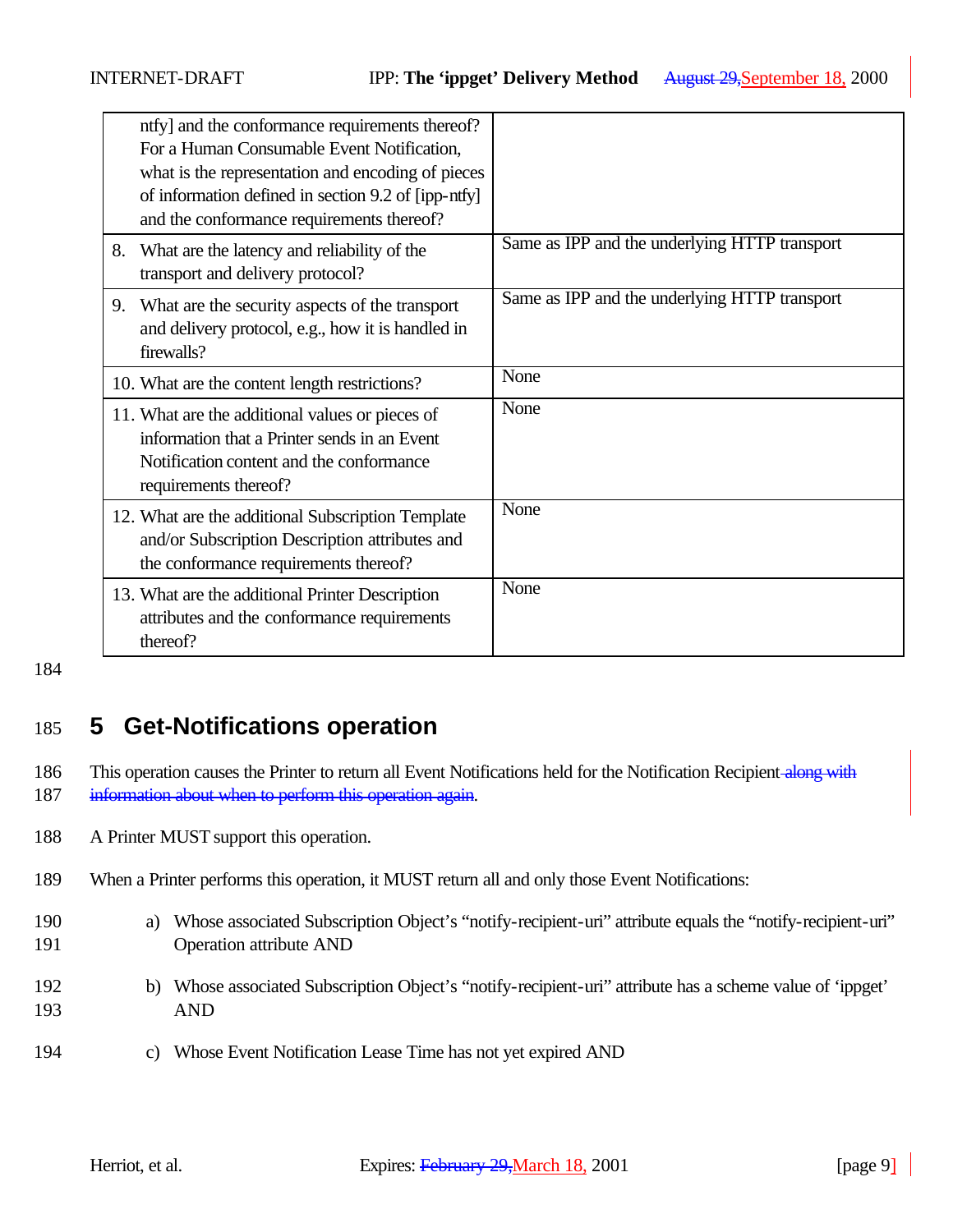| ntfy] and the conformance requirements thereof?<br>For a Human Consumable Event Notification,<br>what is the representation and encoding of pieces<br>of information defined in section 9.2 of [ipp-ntfy]<br>and the conformance requirements thereof? |                                               |
|--------------------------------------------------------------------------------------------------------------------------------------------------------------------------------------------------------------------------------------------------------|-----------------------------------------------|
| 8. What are the latency and reliability of the<br>transport and delivery protocol?                                                                                                                                                                     | Same as IPP and the underlying HTTP transport |
| 9. What are the security aspects of the transport<br>and delivery protocol, e.g., how it is handled in<br>firewalls?                                                                                                                                   | Same as IPP and the underlying HTTP transport |
| 10. What are the content length restrictions?                                                                                                                                                                                                          | None                                          |
| 11. What are the additional values or pieces of<br>information that a Printer sends in an Event<br>Notification content and the conformance<br>requirements thereof?                                                                                   | None                                          |
| 12. What are the additional Subscription Template<br>and/or Subscription Description attributes and<br>the conformance requirements thereof?                                                                                                           | None                                          |
| 13. What are the additional Printer Description<br>attributes and the conformance requirements<br>thereof?                                                                                                                                             | None                                          |

# 185 **5 Get-Notifications operation**

186 This operation causes the Printer to return all Event Notifications held for the Notification Recipient along with

187 information about when to perform this operation again.

188 A Printer MUST support this operation.

- 189 When a Printer performs this operation, it MUST return all and only those Event Notifications:
- 190 a) Whose associated Subscription Object's "notify-recipient-uri" attribute equals the "notify-recipient-uri" 191 Operation attribute AND
- 192 b) Whose associated Subscription Object's "notify-recipient-uri" attribute has a scheme value of 'ippget' 193 AND
- 194 c) Whose Event Notification Lease Time has not yet expired AND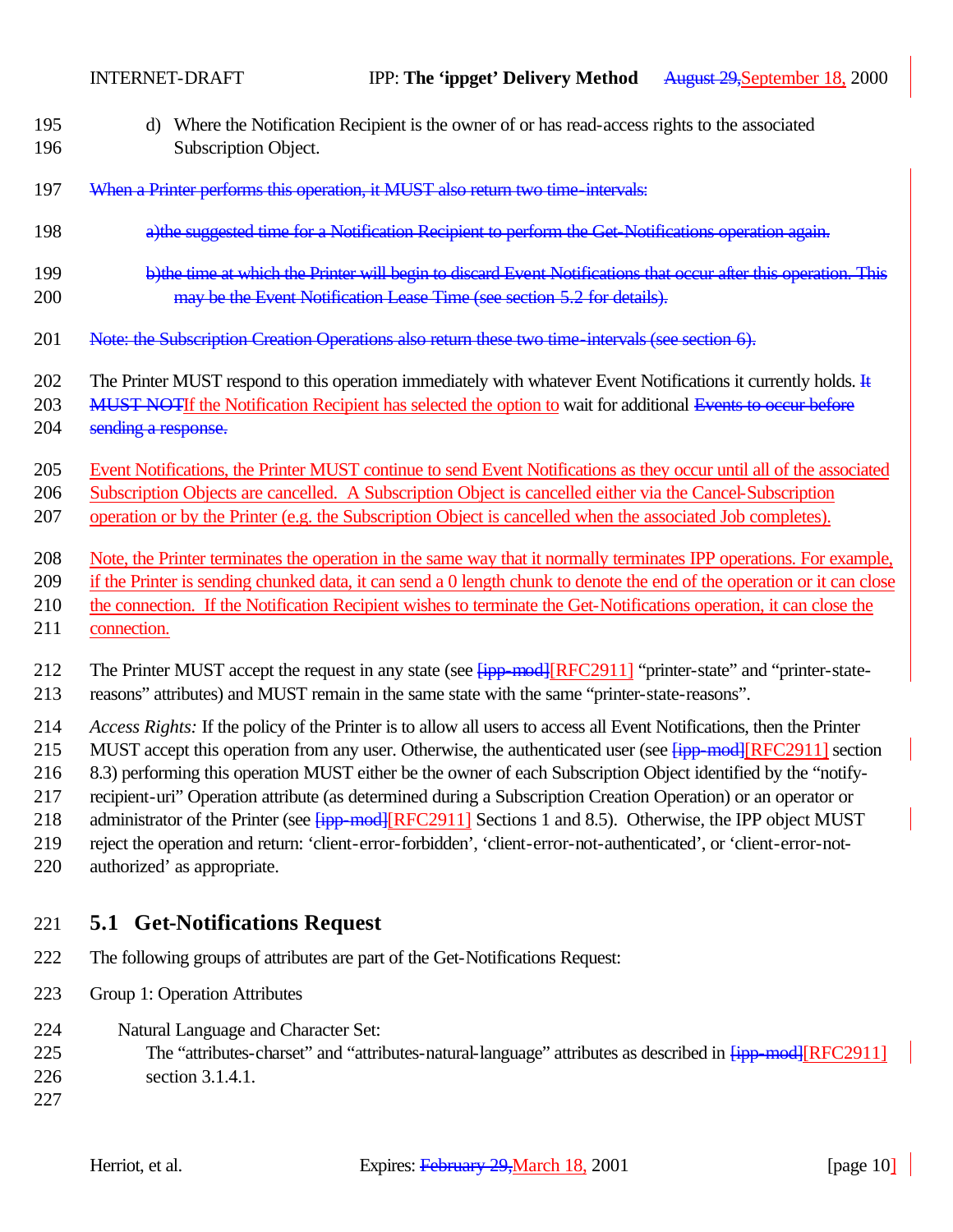| 195 | d) Where the Notification Recipient is the owner of or has read-access rights to the associated                         |
|-----|-------------------------------------------------------------------------------------------------------------------------|
| 196 | Subscription Object.                                                                                                    |
| 197 | When a Printer performs this operation, it MUST also return two time intervals:                                         |
| 198 | a) the suggested time for a Notification Recipient to perform the Get-Notifications operation again.                    |
| 199 | b) the time at which the Printer will begin to discard Event Notifications that occur after this operation. This        |
| 200 | may be the Event Notification Lease Time (see section 5.2 for details).                                                 |
| 201 | Note: the Subscription Creation Operations also return these two time-intervals (see section 6).                        |
| 202 | The Printer MUST respond to this operation immediately with whatever Event Notifications it currently holds. It         |
| 203 | MUST NOTIf the Notification Recipient has selected the option to wait for additional Events to occur before             |
| 204 | sending a response.                                                                                                     |
| 205 | Event Notifications, the Printer MUST continue to send Event Notifications as they occur until all of the associated    |
| 206 | Subscription Objects are cancelled. A Subscription Object is cancelled either via the Cancel-Subscription               |
| 207 | operation or by the Printer (e.g. the Subscription Object is cancelled when the associated Job completes).              |
| 208 | Note, the Printer terminates the operation in the same way that it normally terminates IPP operations. For example,     |
| 209 | if the Printer is sending chunked data, it can send a 0 length chunk to denote the end of the operation or it can close |
| 210 | the connection. If the Notification Recipient wishes to terminate the Get-Notifications operation, it can close the     |
| 211 | connection.                                                                                                             |
| 212 | The Printer MUST accept the request in any state (see $\frac{fipp \mod f}{RFC2911}$ "printer-state" and "printer-state- |
| 213 | reasons" attributes) and MUST remain in the same state with the same "printer-state-reasons".                           |
| 214 | Access Rights: If the policy of the Printer is to allow all users to access all Event Notifications, then the Printer   |
| 215 | MUST accept this operation from any user. Otherwise, the authenticated user (see Fipp-mod-FRFC2911] section             |
| 216 | 8.3) performing this operation MUST either be the owner of each Subscription Object identified by the "notify-          |
| 217 | recipient-uri" Operation attribute (as determined during a Subscription Creation Operation) or an operator or           |

218 administrator of the Printer (see  $\frac{[ipp \mod][RFC2911]}{[RFC2911]}$  Sections 1 and 8.5). Otherwise, the IPP object MUST

219 reject the operation and return: 'client-error-forbidden', 'client-error-not-authenticated', or 'client-error-not-

220 authorized' as appropriate.

# 221 **5.1 Get-Notifications Request**

- 222 The following groups of attributes are part of the Get-Notifications Request:
- 223 Group 1: Operation Attributes
- 224 Natural Language and Character Set:
- 225 The "attributes-charset" and "attributes-natural-language" attributes as described in  $\frac{1}{1}$  [RFC2911] 226 section 3.1.4.1.

227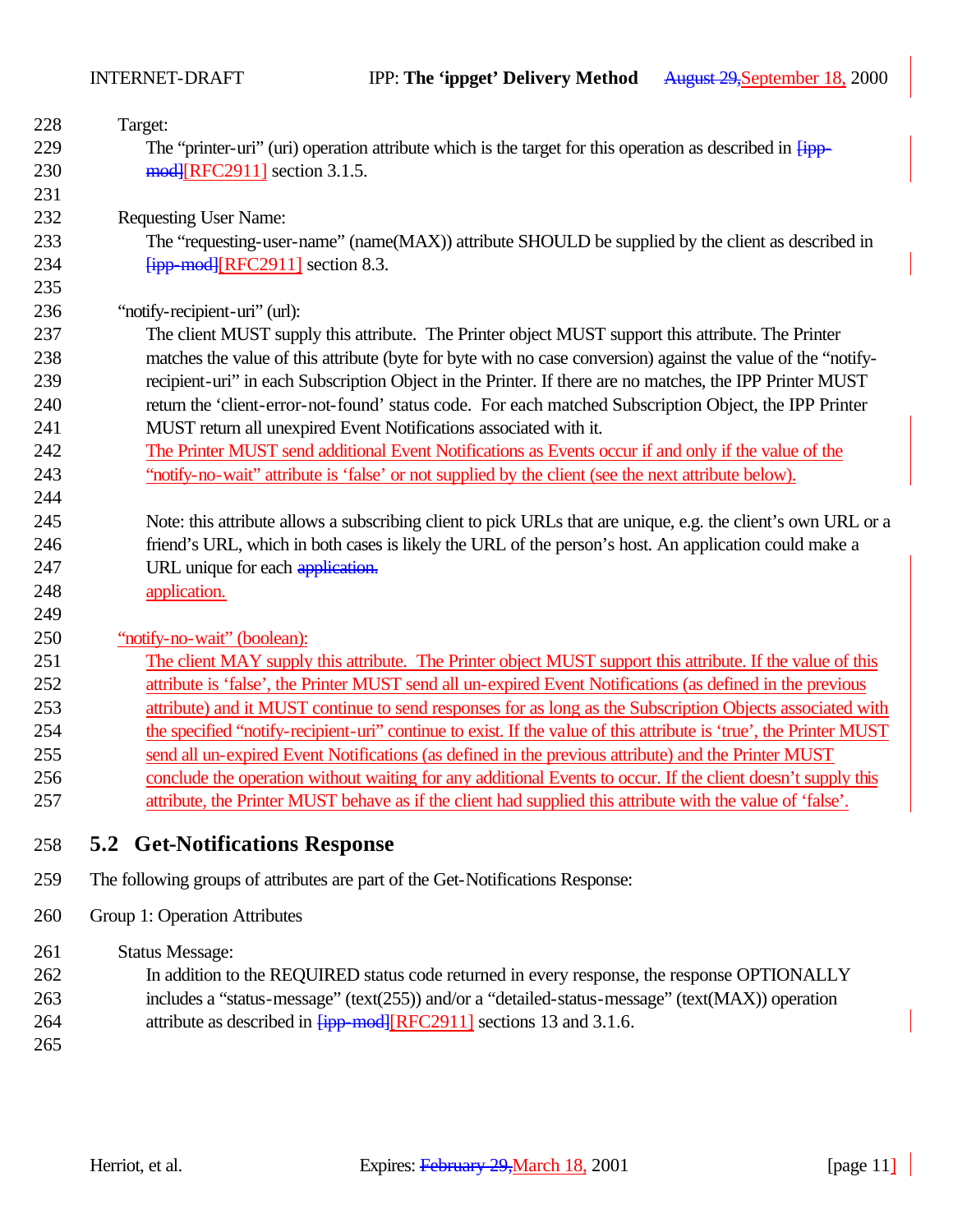| 228 | Target:                                                                                                             |
|-----|---------------------------------------------------------------------------------------------------------------------|
| 229 | The "printer-uri" (uri) operation attribute which is the target for this operation as described in $\overline{Hpp}$ |
| 230 | mod [RFC2911] section 3.1.5.                                                                                        |
| 231 |                                                                                                                     |
| 232 | <b>Requesting User Name:</b>                                                                                        |
| 233 | The "requesting-user-name" (name(MAX)) attribute SHOULD be supplied by the client as described in                   |
| 234 | $f$ ipp-mod $f$ [RFC2911] section 8.3.                                                                              |
| 235 |                                                                                                                     |
| 236 | "notify-recipient-uri" (url):                                                                                       |
| 237 | The client MUST supply this attribute. The Printer object MUST support this attribute. The Printer                  |
| 238 | matches the value of this attribute (byte for byte with no case conversion) against the value of the "notify-       |
| 239 | recipient-uri" in each Subscription Object in the Printer. If there are no matches, the IPP Printer MUST            |
| 240 | return the 'client-error-not-found' status code. For each matched Subscription Object, the IPP Printer              |
| 241 | MUST return all unexpired Event Notifications associated with it.                                                   |
| 242 | The Printer MUST send additional Event Notifications as Events occur if and only if the value of the                |
| 243 | "notify-no-wait" attribute is 'false' or not supplied by the client (see the next attribute below).                 |
| 244 |                                                                                                                     |
| 245 | Note: this attribute allows a subscribing client to pick URLs that are unique, e.g. the client's own URL or a       |
| 246 | friend's URL, which in both cases is likely the URL of the person's host. An application could make a               |
| 247 | URL unique for each application.                                                                                    |
| 248 | application.                                                                                                        |
| 249 |                                                                                                                     |
| 250 | "notify-no-wait" (boolean):                                                                                         |
| 251 | The client MAY supply this attribute. The Printer object MUST support this attribute. If the value of this          |
| 252 | attribute is 'false', the Printer MUST send all un-expired Event Notifications (as defined in the previous          |
| 253 | attribute) and it MUST continue to send responses for as long as the Subscription Objects associated with           |
| 254 | the specified "notify-recipient-uri" continue to exist. If the value of this attribute is 'true', the Printer MUST  |
| 255 | send all un-expired Event Notifications (as defined in the previous attribute) and the Printer MUST                 |
| 256 | conclude the operation without waiting for any additional Events to occur. If the client doesn't supply this        |
| 257 | attribute, the Printer MUST behave as if the client had supplied this attribute with the value of 'false'.          |
|     |                                                                                                                     |
| 258 | <b>5.2 Get-Notifications Response</b>                                                                               |

- 259 The following groups of attributes are part of the Get-Notifications Response:
- 260 Group 1: Operation Attributes

261 Status Message:

- 262 In addition to the REQUIRED status code returned in every response, the response OPTIONALLY
- 263 includes a "status-message" (text(255)) and/or a "detailed-status-message" (text(MAX)) operation 264 attribute as described in  $\frac{[ipp \mod][RFC2911]}{[NPCC9911]}$  sections 13 and 3.1.6.
- 265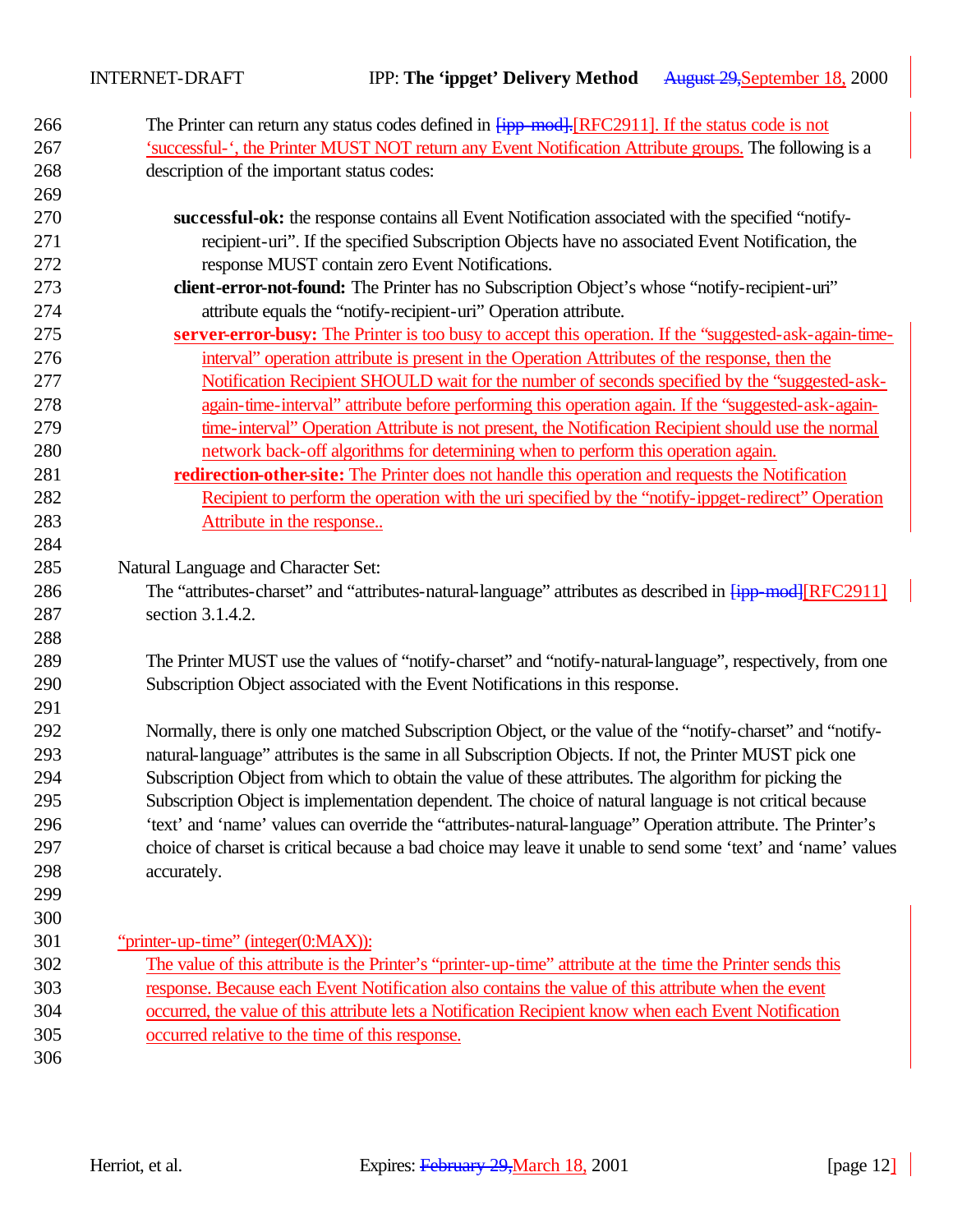| 266        | The Printer can return any status codes defined in $\frac{[ipp \mod{1}]}{[RFC2911]}$ . If the status code is not             |
|------------|------------------------------------------------------------------------------------------------------------------------------|
| 267        | 'successful-', the Printer MUST NOT return any Event Notification Attribute groups. The following is a                       |
| 268        | description of the important status codes:                                                                                   |
| 269        |                                                                                                                              |
| 270        | successful-ok: the response contains all Event Notification associated with the specified "notify-                           |
| 271        | recipient-uri". If the specified Subscription Objects have no associated Event Notification, the                             |
| 272        | response MUST contain zero Event Notifications.                                                                              |
| 273        | client-error-not-found: The Printer has no Subscription Object's whose "notify-recipient-uri"                                |
| 274        | attribute equals the "notify-recipient-uri" Operation attribute.                                                             |
| 275        | server-error-busy: The Printer is too busy to accept this operation. If the "suggested-ask-again-time-                       |
| 276        | interval" operation attribute is present in the Operation Attributes of the response, then the                               |
| 277        | Notification Recipient SHOULD wait for the number of seconds specified by the "suggested-ask-                                |
| 278        | again-time-interval" attribute before performing this operation again. If the "suggested-ask-again-                          |
| 279        | time-interval" Operation Attribute is not present, the Notification Recipient should use the normal                          |
| 280        | network back-off algorithms for determining when to perform this operation again.                                            |
| 281        | redirection-other-site: The Printer does not handle this operation and requests the Notification                             |
| 282        | Recipient to perform the operation with the uri specified by the "notify-ippget-redirect" Operation                          |
| 283        | Attribute in the response                                                                                                    |
| 284        |                                                                                                                              |
| 285<br>286 | Natural Language and Character Set:                                                                                          |
| 287        | The "attributes-charset" and "attributes-natural-language" attributes as described in [ipp-mod][RFC2911]<br>section 3.1.4.2. |
| 288        |                                                                                                                              |
| 289        | The Printer MUST use the values of "notify-charset" and "notify-natural-language", respectively, from one                    |
| 290        | Subscription Object associated with the Event Notifications in this response.                                                |
| 291        |                                                                                                                              |
| 292        | Normally, there is only one matched Subscription Object, or the value of the "notify-charset" and "notify-                   |
| 293        | natural-language" attributes is the same in all Subscription Objects. If not, the Printer MUST pick one                      |
| 294        | Subscription Object from which to obtain the value of these attributes. The algorithm for picking the                        |
| 295        | Subscription Object is implementation dependent. The choice of natural language is not critical because                      |
| 296        | 'text' and 'name' values can override the "attributes-natural-language" Operation attribute. The Printer's                   |
| 297        | choice of charset is critical because a bad choice may leave it unable to send some 'text' and 'name' values                 |
| 298        | accurately.                                                                                                                  |
| 299        |                                                                                                                              |
| 300        |                                                                                                                              |
| 301        | "printer-up-time" (integer(0:MAX)):                                                                                          |
| 302        | The value of this attribute is the Printer's "printer-up-time" attribute at the time the Printer sends this                  |
| 303        | response. Because each Event Notification also contains the value of this attribute when the event                           |
| 304        | occurred, the value of this attribute lets a Notification Recipient know when each Event Notification                        |
| 305        | occurred relative to the time of this response.                                                                              |
| 306        |                                                                                                                              |
|            |                                                                                                                              |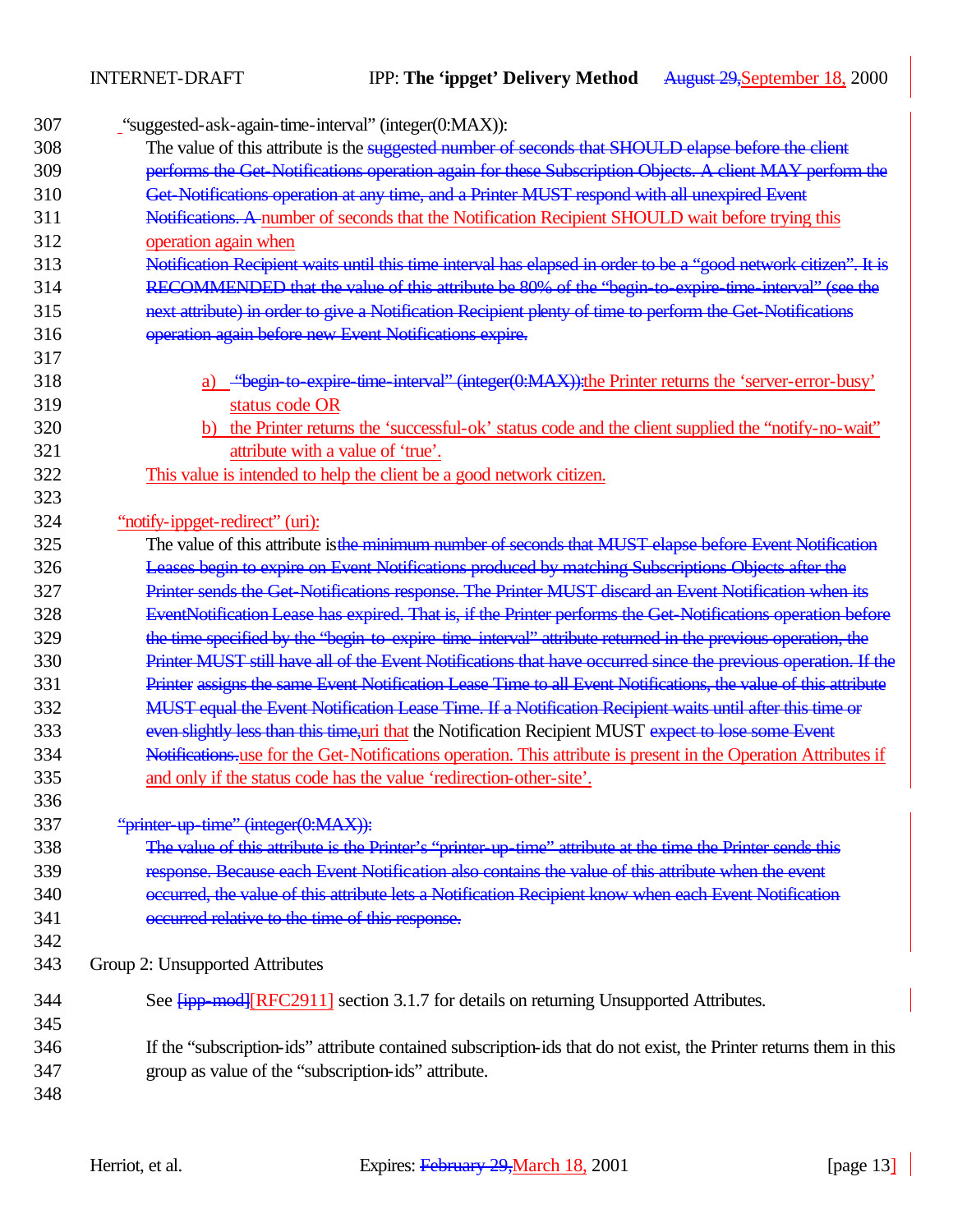| 307 | "suggested-ask-again-time-interval" (integer(0:MAX)):                                                              |
|-----|--------------------------------------------------------------------------------------------------------------------|
| 308 | The value of this attribute is the suggested number of seconds that SHOULD elapse before the client                |
| 309 | performs the Get-Notifications operation again for these Subscription Objects. A client MAY perform the            |
| 310 | Get Notifications operation at any time, and a Printer MUST respond with all unexpired Event                       |
| 311 | Notifications. A number of seconds that the Notification Recipient SHOULD wait before trying this                  |
| 312 | operation again when                                                                                               |
| 313 | Notification Recipient waits until this time interval has elapsed in order to be a "good network citizen". It is   |
| 314 | RECOMMENDED that the value of this attribute be 80% of the "begin to expire time interval" (see the                |
| 315 | next attribute) in order to give a Notification Recipient plenty of time to perform the Get-Notifications          |
| 316 | operation again before new Event Notifications expire.                                                             |
| 317 |                                                                                                                    |
| 318 | - "begin to expire time interval" (integer(0:MAX)): the Printer returns the 'server-error-busy'                    |
| 319 | status code OR                                                                                                     |
| 320 | b) the Printer returns the 'successful-ok' status code and the client supplied the "notify-no-wait"                |
| 321 | attribute with a value of 'true'.                                                                                  |
| 322 | This value is intended to help the client be a good network citizen.                                               |
| 323 |                                                                                                                    |
| 324 | "notify-ippget-redirect" (uri):                                                                                    |
| 325 | The value of this attribute is the minimum number of seconds that MUST elapse before Event Notification            |
| 326 | Leases begin to expire on Event Notifications produced by matching Subscriptions Objects after the                 |
| 327 | Printer sends the Get-Notifications response. The Printer MUST discard an Event Notification when its              |
| 328 | EventNotification Lease has expired. That is, if the Printer performs the Get-Notifications operation before       |
| 329 | the time specified by the "begin to expire time interval" attribute returned in the previous operation, the        |
| 330 | Printer MUST still have all of the Event Notifications that have occurred since the previous operation. If the     |
| 331 | Printer assigns the same Event Notification Lease Time to all Event Notifications, the value of this attribute     |
| 332 | MUST equal the Event Notification Lease Time. If a Notification Recipient waits until after this time or           |
| 333 | even slightly less than this time, uri that the Notification Recipient MUST expect to lose some Event              |
| 334 | Notifications use for the Get-Notifications operation. This attribute is present in the Operation Attributes if    |
| 335 | and only if the status code has the value 'redirection-other-site'.                                                |
| 336 |                                                                                                                    |
| 337 | "printer up time" (integer(0:MAX)):                                                                                |
| 338 | The value of this attribute is the Printer's "printer up-time" attribute at the time the Printer sends this        |
| 339 | response. Because each Event Notification also contains the value of this attribute when the event                 |
| 340 | occurred, the value of this attribute lets a Notification Recipient know when each Event Notification              |
| 341 | occurred relative to the time of this response.                                                                    |
| 342 |                                                                                                                    |
| 343 | Group 2: Unsupported Attributes                                                                                    |
| 344 | See <b>[ipp-mod]</b> [RFC2911] section 3.1.7 for details on returning Unsupported Attributes.                      |
| 345 |                                                                                                                    |
| 346 | If the "subscription-ids" attribute contained subscription-ids that do not exist, the Printer returns them in this |
| 347 | group as value of the "subscription-ids" attribute.                                                                |
| 348 |                                                                                                                    |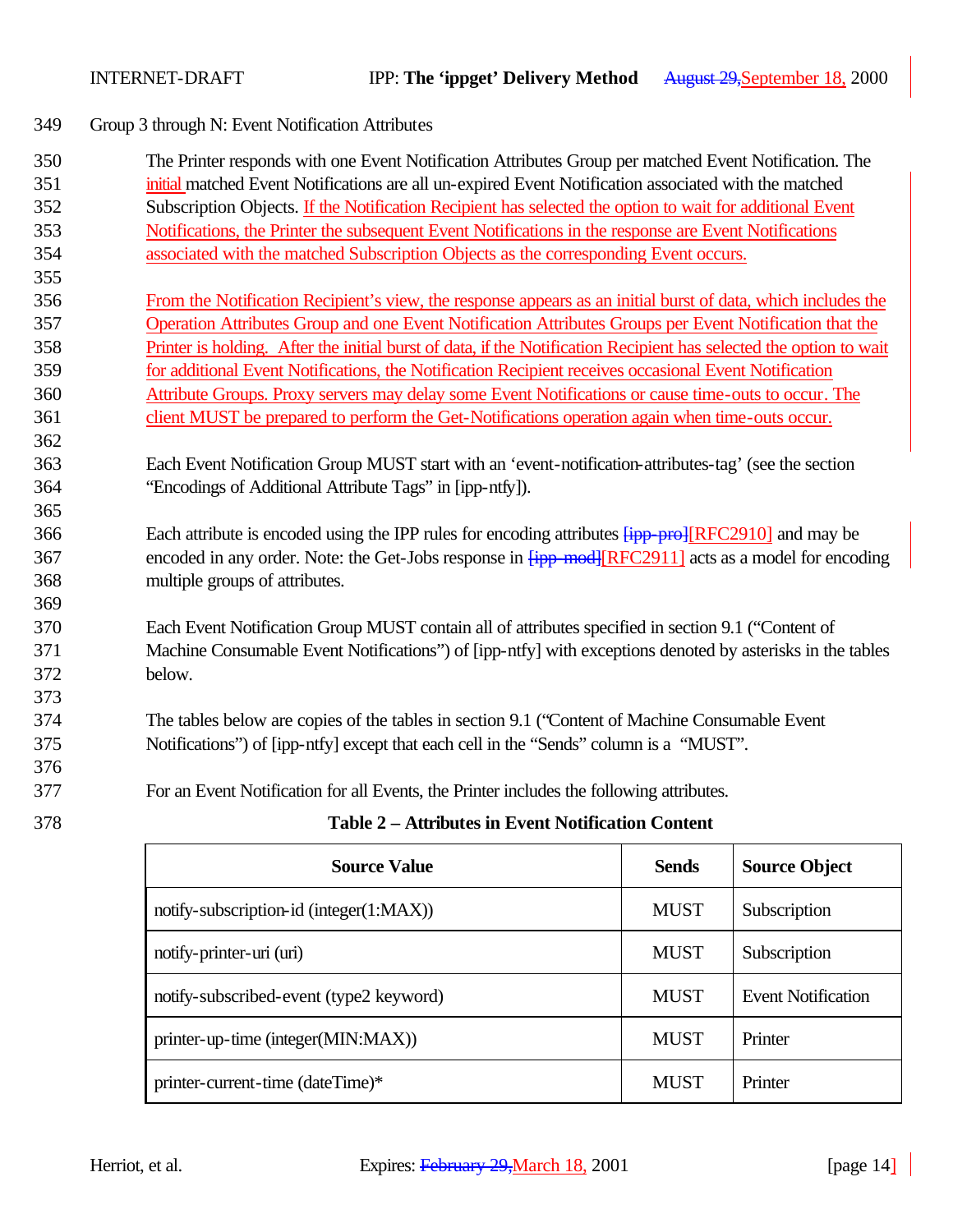349 Group 3 through N: Event Notification Attributes

| 350 | The Printer responds with one Event Notification Attributes Group per matched Event Notification. The                     |       |                      |  |
|-----|---------------------------------------------------------------------------------------------------------------------------|-------|----------------------|--|
| 351 | initial matched Event Notifications are all un-expired Event Notification associated with the matched                     |       |                      |  |
| 352 | Subscription Objects. If the Notification Recipient has selected the option to wait for additional Event                  |       |                      |  |
| 353 | Notifications, the Printer the subsequent Event Notifications in the response are Event Notifications                     |       |                      |  |
| 354 | associated with the matched Subscription Objects as the corresponding Event occurs.                                       |       |                      |  |
| 355 |                                                                                                                           |       |                      |  |
| 356 | From the Notification Recipient's view, the response appears as an initial burst of data, which includes the              |       |                      |  |
| 357 | Operation Attributes Group and one Event Notification Attributes Groups per Event Notification that the                   |       |                      |  |
| 358 | Printer is holding. After the initial burst of data, if the Notification Recipient has selected the option to wait        |       |                      |  |
| 359 | for additional Event Notifications, the Notification Recipient receives occasional Event Notification                     |       |                      |  |
| 360 | Attribute Groups. Proxy servers may delay some Event Notifications or cause time-outs to occur. The                       |       |                      |  |
| 361 | client MUST be prepared to perform the Get-Notifications operation again when time-outs occur.                            |       |                      |  |
| 362 |                                                                                                                           |       |                      |  |
| 363 | Each Event Notification Group MUST start with an 'event-notification-attributes-tag' (see the section                     |       |                      |  |
| 364 | "Encodings of Additional Attribute Tags" in [ipp-ntfy]).                                                                  |       |                      |  |
| 365 |                                                                                                                           |       |                      |  |
| 366 | Each attribute is encoded using the IPP rules for encoding attributes $\frac{F}{F}$ [RFC2910] and may be                  |       |                      |  |
| 367 | encoded in any order. Note: the Get-Jobs response in $\frac{[ipp \mod][RFC2911]}{[KPC2911]}$ acts as a model for encoding |       |                      |  |
| 368 | multiple groups of attributes.                                                                                            |       |                      |  |
| 369 |                                                                                                                           |       |                      |  |
| 370 | Each Event Notification Group MUST contain all of attributes specified in section 9.1 ("Content of                        |       |                      |  |
| 371 | Machine Consumable Event Notifications") of [ipp-ntfy] with exceptions denoted by asterisks in the tables                 |       |                      |  |
| 372 | below.                                                                                                                    |       |                      |  |
| 373 |                                                                                                                           |       |                      |  |
| 374 | The tables below are copies of the tables in section 9.1 ("Content of Machine Consumable Event"                           |       |                      |  |
| 375 | Notifications") of [ipp-ntfy] except that each cell in the "Sends" column is a "MUST".                                    |       |                      |  |
| 376 |                                                                                                                           |       |                      |  |
| 377 | For an Event Notification for all Events, the Printer includes the following attributes.                                  |       |                      |  |
| 378 | Table 2 - Attributes in Event Notification Content                                                                        |       |                      |  |
|     | <b>Source Value</b>                                                                                                       | Sends | <b>Source Object</b> |  |

| <b>Source Value</b>                     | <b>Sends</b> | <b>Source Object</b>      |
|-----------------------------------------|--------------|---------------------------|
| notify-subscription-id (integer(1:MAX)) | <b>MUST</b>  | Subscription              |
| notify-printer-uri (uri)                | <b>MUST</b>  | Subscription              |
| notify-subscribed-event (type2 keyword) | <b>MUST</b>  | <b>Event Notification</b> |
| printer-up-time (integer(MIN:MAX))      | <b>MUST</b>  | Printer                   |
| printer-current-time (dateTime)*        | <b>MUST</b>  | Printer                   |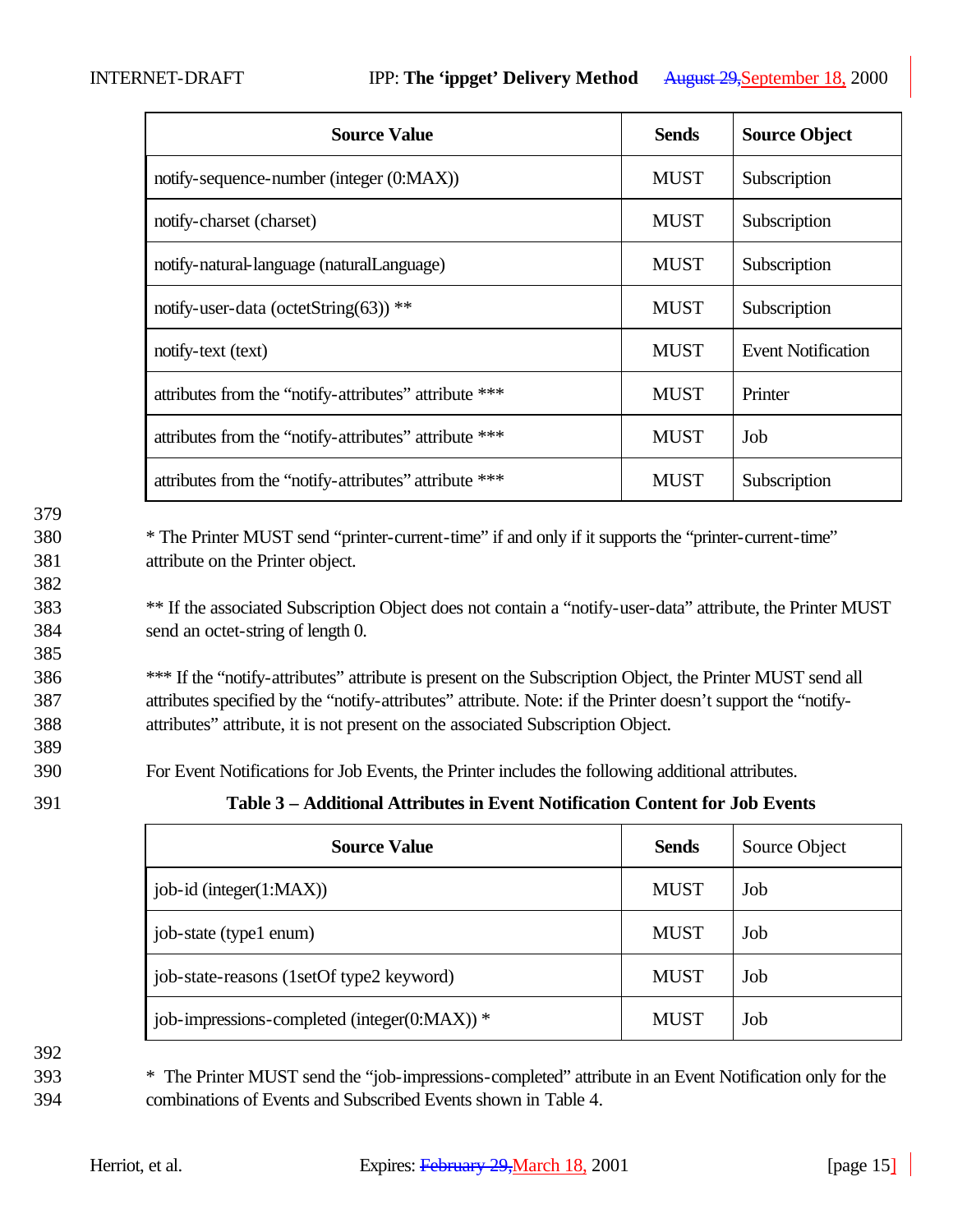| <b>Source Value</b>                                   | <b>Sends</b> | <b>Source Object</b>      |
|-------------------------------------------------------|--------------|---------------------------|
| notify-sequence-number (integer (0:MAX))              | <b>MUST</b>  | Subscription              |
| notify-charset (charset)                              | <b>MUST</b>  | Subscription              |
| notify-natural-language (naturalLanguage)             | <b>MUST</b>  | Subscription              |
| notify-user-data (octetString(63)) **                 | <b>MUST</b>  | Subscription              |
| notify-text (text)                                    | <b>MUST</b>  | <b>Event Notification</b> |
| attributes from the "notify-attributes" attribute *** | <b>MUST</b>  | Printer                   |
| attributes from the "notify-attributes" attribute *** | <b>MUST</b>  | Job                       |
| attributes from the "notify-attributes" attribute *** | <b>MUST</b>  | Subscription              |

382

385

380 \* The Printer MUST send "printer-current-time" if and only if it supports the "printer-current-time" 381 attribute on the Printer object.

<sup>383</sup> \*\* If the associated Subscription Object does not contain a "notify-user-data" attribute, the Printer MUST 384 send an octet-string of length 0.

386 \*\*\* If the "notify-attributes" attribute is present on the Subscription Object, the Printer MUST send all 387 attributes specified by the "notify-attributes" attribute. Note: if the Printer doesn't support the "notify-388 attributes" attribute, it is not present on the associated Subscription Object.

390 For Event Notifications for Job Events, the Printer includes the following additional attributes.

389

391 **Table 3 – Additional Attributes in Event Notification Content for Job Events** 

| <b>Source Value</b>                                | <b>Sends</b> | Source Object |
|----------------------------------------------------|--------------|---------------|
| job-id (integer(1:MAX))                            | <b>MUST</b>  | Job           |
| job-state (type1 enum)                             | <b>MUST</b>  | Job           |
| job-state-reasons (1setOf type2 keyword)           | <b>MUST</b>  | Job           |
| job-impressions-completed (integer( $0$ :MAX)) $*$ | <b>MUST</b>  | Job           |

392

393 \* The Printer MUST send the "job-impressions-completed" attribute in an Event Notification only for the 394 combinations of Events and Subscribed Events shown in Table 4.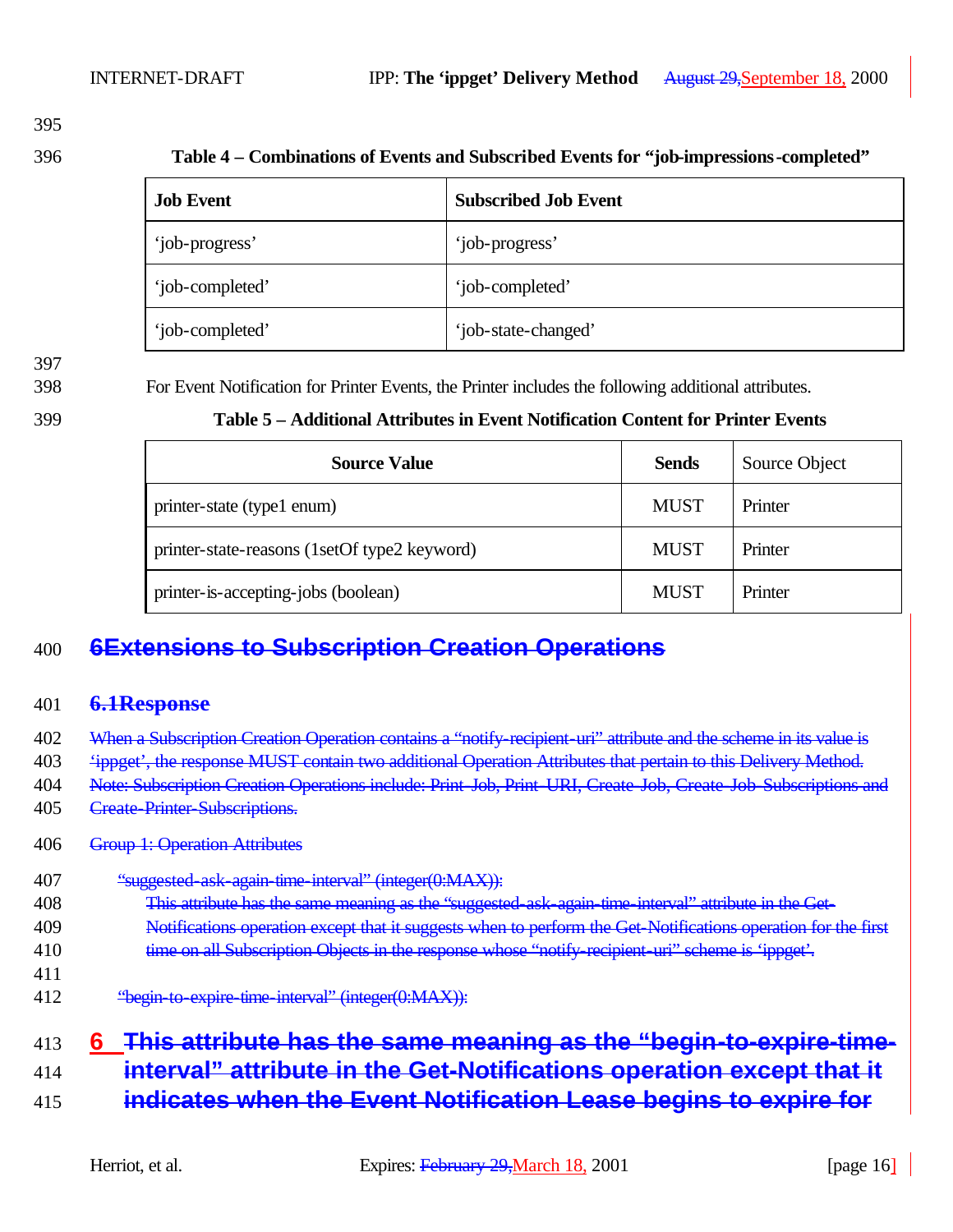396 **Table 4 – Combinations of Events and Subscribed Events for "job-impressions-completed"**

| <b>Job Event</b> | <b>Subscribed Job Event</b> |
|------------------|-----------------------------|
| 'job-progress'   | 'job-progress'              |
| 'job-completed'  | 'job-completed'             |
| 'job-completed'  | 'job-state-changed'         |

398 For Event Notification for Printer Events, the Printer includes the following additional attributes.

| 399<br>Table 5 – Additional Attributes in Event Notification Content for Printer Events |  |
|-----------------------------------------------------------------------------------------|--|
|-----------------------------------------------------------------------------------------|--|

| <b>Source Value</b>                          | <b>Sends</b> | Source Object |
|----------------------------------------------|--------------|---------------|
| printer-state (type1 enum)                   | <b>MUST</b>  | Printer       |
| printer-state-reasons (1setOf type2 keyword) | <b>MUST</b>  | Printer       |
| printer-is-accepting-jobs (boolean)          | <b>MUST</b>  | Printer       |

# 400 **6Extensions to Subscription Creation Operations**

#### 401 **6.1Response**

- 402 When a Subscription Creation Operation contains a "notify-recipient-uri" attribute and the scheme in its value is
- 403 'ippget', the response MUST contain two additional Operation Attributes that pertain to this Delivery Method.
- 404 Note: Subscription Creation Operations include: Print-Job, Print-URI, Create-Job, Create-Job-Subscriptions and
- 405 Create-Printer-Subscriptions.

#### 406 Group 1: Operation Attributes

- 407 "suggested-ask-again-time-interval" (integer(0:MAX)):
- 408 This attribute has the same meaning as the "suggested-ask-again-time-interval" attribute in the Get-
- 409 Notifications operation except that it suggests when to perform the Get-Notifications operation for the first 410 time on all Subscription Objects in the response whose "notify-recipient-uri" scheme is 'ippget'.
- 411

412 "begin-to-expire-time-interval" (integer(0:MAX)):

# 413 **6 This attribute has the same meaning as the "begin-to-expire-time-**

- 414 **interval" attribute in the Get-Notifications operation except that it**
- 415 **indicates when the Event Notification Lease begins to expire for**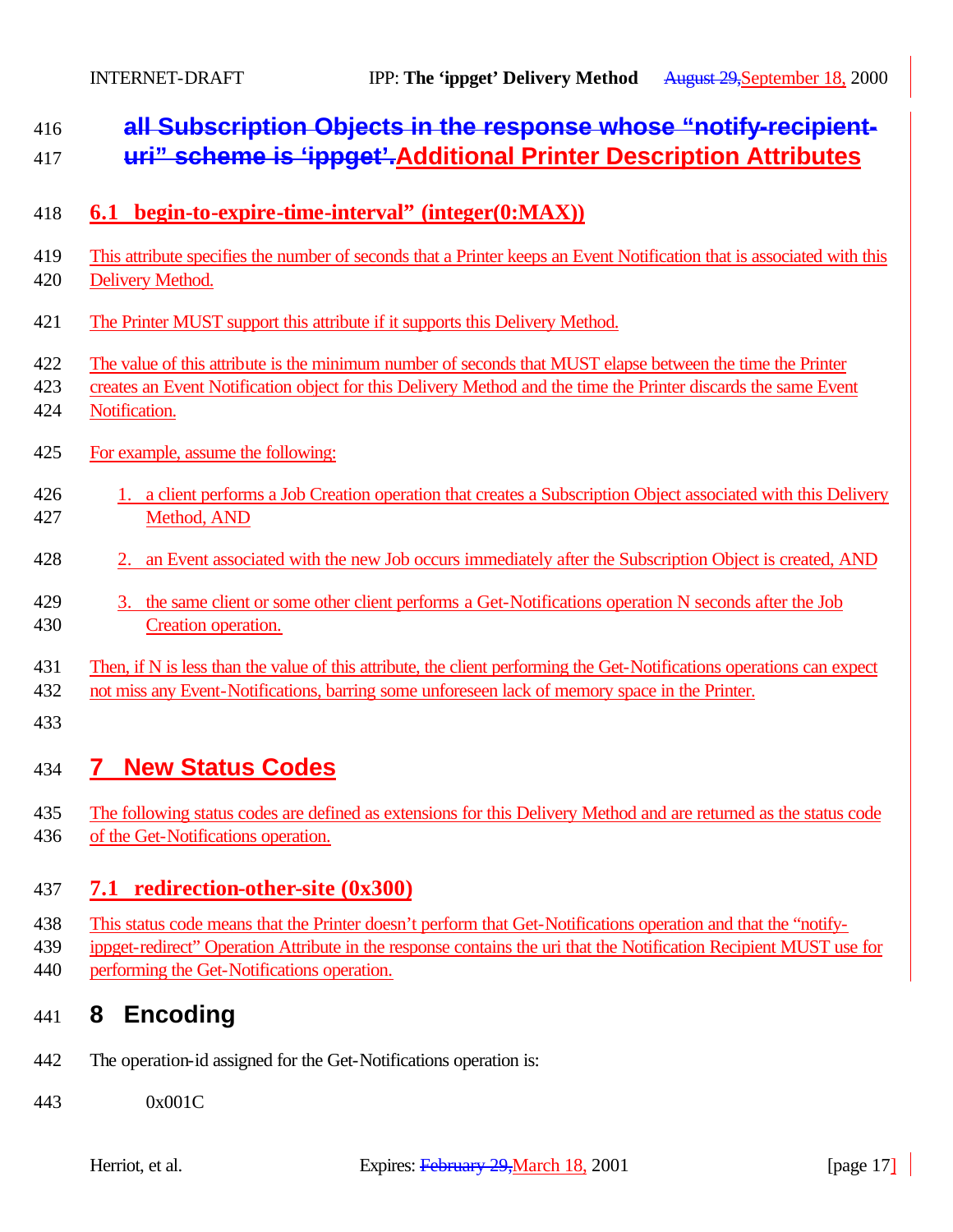# **all Subscription Objects in the response whose "notify-recipient-**

- **uri" scheme is 'ippget'.Additional Printer Description Attributes**
- **6.1 begin-to-expire-time-interval" (integer(0:MAX))**
- This attribute specifies the number of seconds that a Printer keeps an Event Notification that is associated with this
- Delivery Method.
- The Printer MUST support this attribute if it supports this Delivery Method.
- The value of this attribute is the minimum number of seconds that MUST elapse between the time the Printer
- creates an Event Notification object for this Delivery Method and the time the Printer discards the same Event
- Notification.
- For example, assume the following:
- 426 1. a client performs a Job Creation operation that creates a Subscription Object associated with this Delivery Method, AND
- 2. an Event associated with the new Job occurs immediately after the Subscription Object is created, AND
- 3. the same client or some other client performs a Get-Notifications operation N seconds after the Job Creation operation.

#### Then, if N is less than the value of this attribute, the client performing the Get-Notifications operations can expect

- not miss any Event-Notifications, barring some unforeseen lack of memory space in the Printer.
- 

# **7 New Status Codes**

- The following status codes are defined as extensions for this Delivery Method and are returned as the status code
- of the Get-Notifications operation.

### **7.1 redirection-other-site (0x300)**

- This status code means that the Printer doesn't perform that Get-Notifications operation and that the "notify-
- ippget-redirect" Operation Attribute in the response contains the uri that the Notification Recipient MUST use for
- performing the Get-Notifications operation.

# **8 Encoding**

- The operation-id assigned for the Get-Notifications operation is:
- 0x001C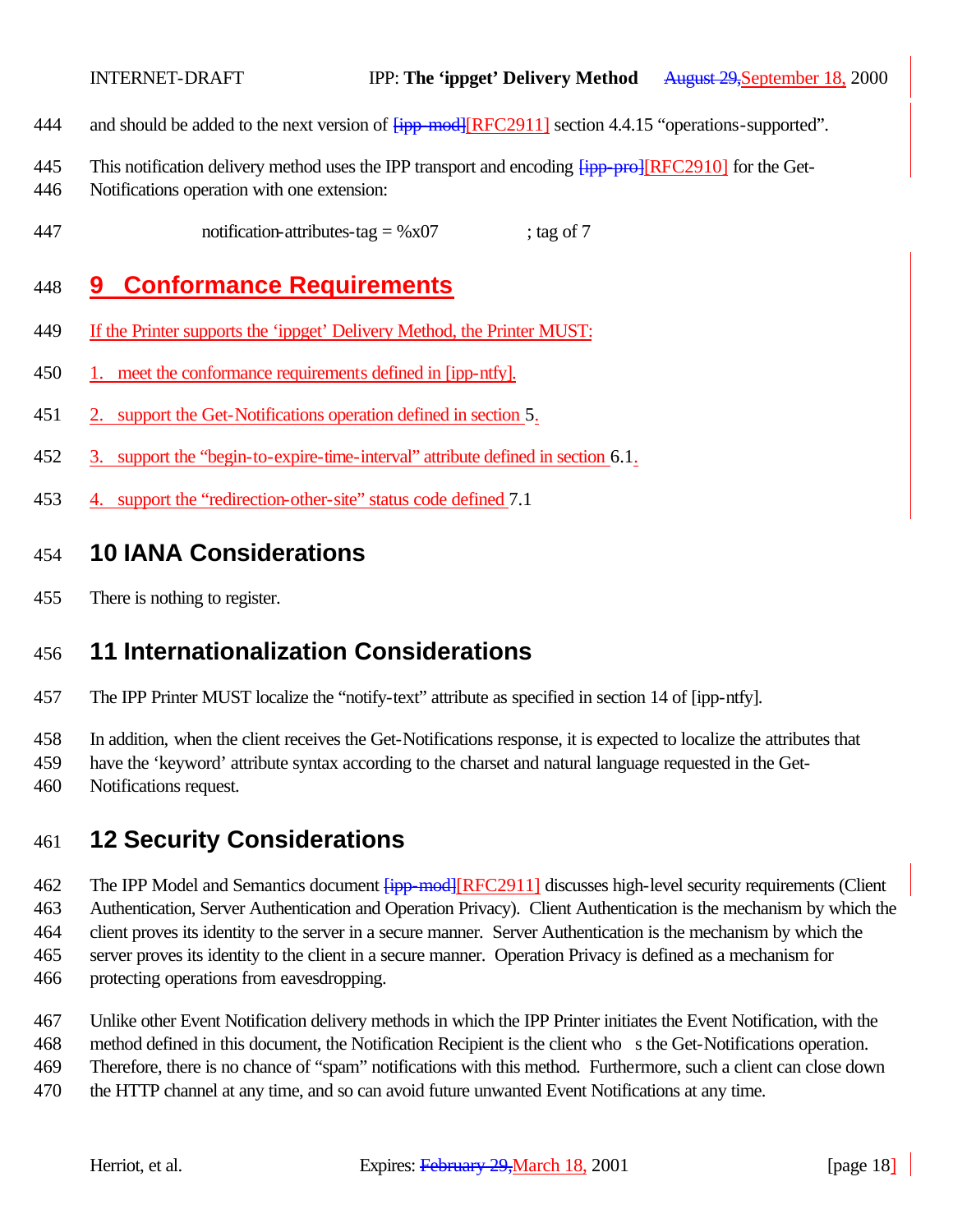- 444 and should be added to the next version of  $\frac{1}{1}$  = mod  $\frac{1}{1}$  RFC2911] section 4.4.15 "operations-supported".
- 445 This notification delivery method uses the IPP transport and encoding  $\frac{1}{1}$   $\frac{1}{1}$   $\frac{1}{1}$   $\frac{1}{1}$   $\frac{1}{1}$   $\frac{1}{1}$   $\frac{1}{1}$   $\frac{1}{1}$   $\frac{1}{1}$   $\frac{1}{1}$   $\frac{1}{1}$   $\frac{1}{1}$   $\frac{1}{1}$   $\frac{1}{1}$   $\frac{1}{1}$
- Notifications operation with one extension:
- 447 notification-attributes-tag =  $\%x07$  ; tag of 7

### **9 Conformance Requirements**

- If the Printer supports the 'ippget' Delivery Method, the Printer MUST:
- 1. meet the conformance requirements defined in [ipp-ntfy].
- 2. support the Get-Notifications operation defined in section 5.
- 3. support the "begin-to-expire-time-interval" attribute defined in section 6.1.
- 4. support the "redirection-other-site" status code defined 7.1

### **10 IANA Considerations**

There is nothing to register.

### **11 Internationalization Considerations**

The IPP Printer MUST localize the "notify-text" attribute as specified in section 14 of [ipp-ntfy].

In addition, when the client receives the Get-Notifications response, it is expected to localize the attributes that

- have the 'keyword' attribute syntax according to the charset and natural language requested in the Get-
- Notifications request.

### **12 Security Considerations**

462 The IPP Model and Semantics document  $\frac{1}{1}$  = mod  $\frac{1}{1}$  RFC2911] discusses high-level security requirements (Client Authentication, Server Authentication and Operation Privacy). Client Authentication is the mechanism by which the client proves its identity to the server in a secure manner. Server Authentication is the mechanism by which the server proves its identity to the client in a secure manner. Operation Privacy is defined as a mechanism for protecting operations from eavesdropping.

Unlike other Event Notification delivery methods in which the IPP Printer initiates the Event Notification, with the

method defined in this document, the Notification Recipient is the client who s the Get-Notifications operation.

Therefore, there is no chance of "spam" notifications with this method. Furthermore, such a client can close down

the HTTP channel at any time, and so can avoid future unwanted Event Notifications at any time.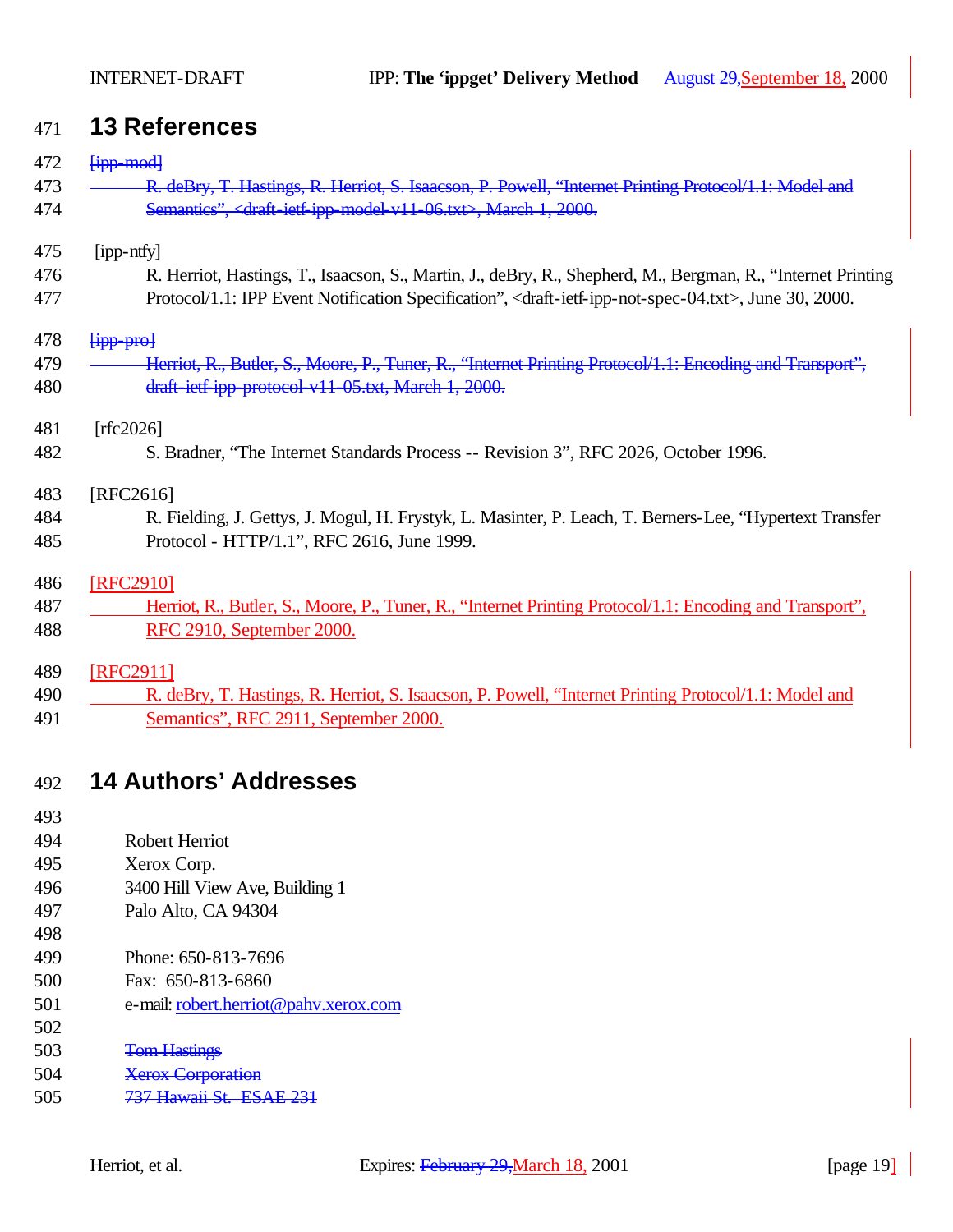### **13 References**

| 472 | <b>Fipp-modl</b>                                                                                                                       |
|-----|----------------------------------------------------------------------------------------------------------------------------------------|
| 473 | R. deBry, T. Hastings, R. Herriot, S. Isaacson, P. Powell, "Internet Printing Protocol/1.1: Model and                                  |
| 474 | Semantics", <draft-ietf-ipp-model-v11-06.txt>, March-1, 2000.</draft-ietf-ipp-model-v11-06.txt>                                        |
| 475 | [ipp-ntfy]                                                                                                                             |
| 476 | R. Herriot, Hastings, T., Isaacson, S., Martin, J., deBry, R., Shepherd, M., Bergman, R., "Internet Printing                           |
| 477 | Protocol/1.1: IPP Event Notification Specification", <draft-ietf-ipp-not-spec-04.txt>, June 30, 2000.</draft-ietf-ipp-not-spec-04.txt> |
| 478 | <b>Fipp</b> -pro                                                                                                                       |
| 479 | Herriot, R., Butler, S., Moore, P., Tuner, R., "Internet Printing Protocol/1.1: Encoding and Transport",                               |
| 480 | draft-ietf-ipp-protocol-v11-05.txt, March 1, 2000.                                                                                     |
| 481 | [rfc2026]                                                                                                                              |
| 482 | S. Bradner, "The Internet Standards Process -- Revision 3", RFC 2026, October 1996.                                                    |
| 483 | [RFC2616]                                                                                                                              |
| 484 | R. Fielding, J. Gettys, J. Mogul, H. Frystyk, L. Masinter, P. Leach, T. Berners-Lee, "Hypertext Transfer"                              |
| 485 | Protocol - HTTP/1.1", RFC 2616, June 1999.                                                                                             |
| 486 | [RFC2910]                                                                                                                              |
| 487 | Herriot, R., Butler, S., Moore, P., Tuner, R., "Internet Printing Protocol/1.1: Encoding and Transport",                               |
| 488 | RFC 2910, September 2000.                                                                                                              |
| 489 | [RFC2911]                                                                                                                              |
| 490 | R. deBry, T. Hastings, R. Herriot, S. Isaacson, P. Powell, "Internet Printing Protocol/1.1: Model and                                  |
| 491 | Semantics", RFC 2911, September 2000.                                                                                                  |
|     |                                                                                                                                        |
| 492 | <b>14 Authors' Addresses</b>                                                                                                           |
|     |                                                                                                                                        |

- 
- Robert Herriot
- Xerox Corp.
- 3400 Hill View Ave, Building 1
- Palo Alto, CA 94304
- Phone: 650-813-7696
- Fax: 650-813-6860
- e-mail: robert.herriot@pahv.xerox.com
- 
- Tom Hastings
- Xerox Corporation
- 737 Hawaii St. ESAE 231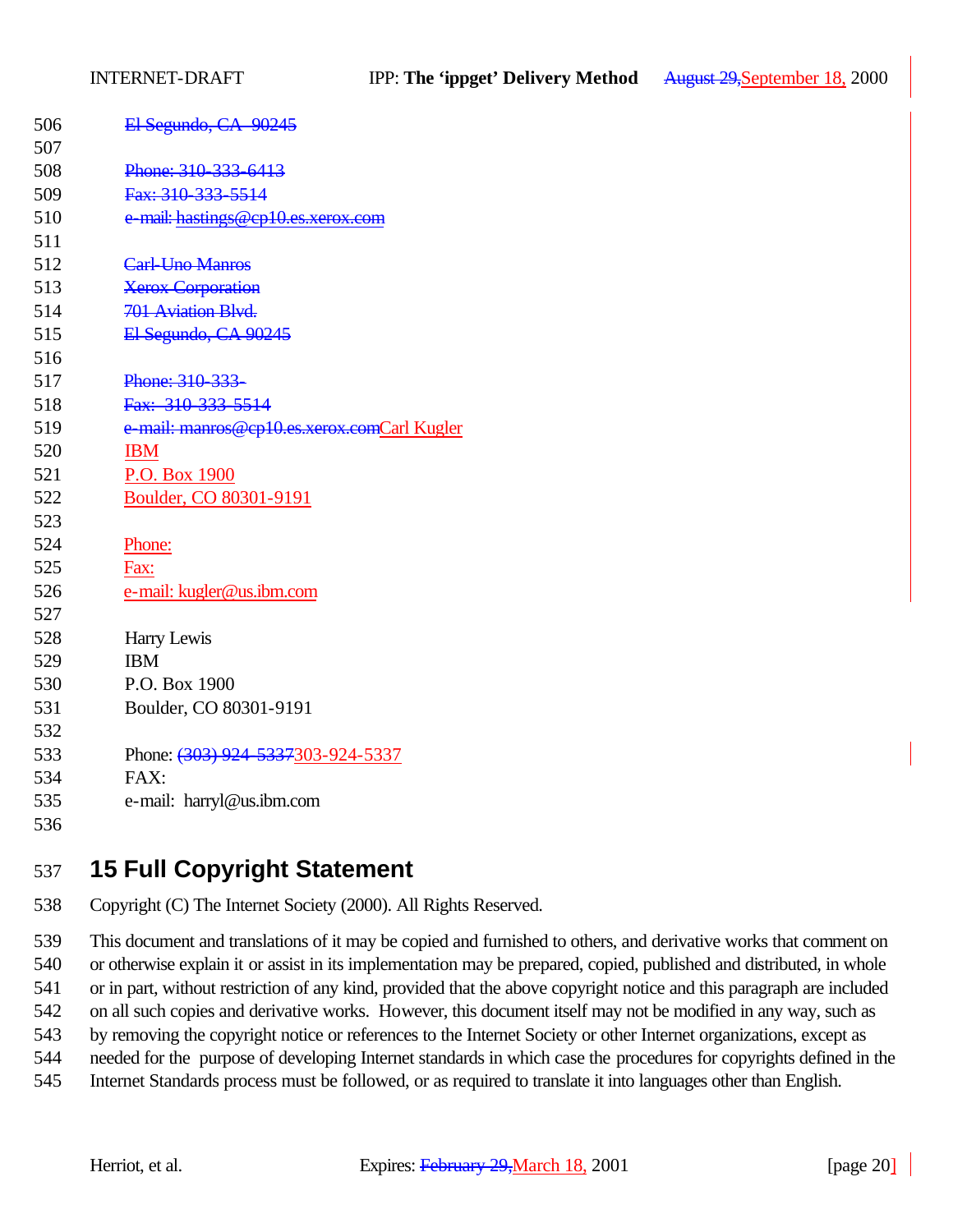| 506 | El Segundo, CA 90245                        |
|-----|---------------------------------------------|
| 507 |                                             |
| 508 | Phone: 310-333-6413                         |
| 509 | Fax: 310-333-5514                           |
| 510 | e-mail: hastings@cp10.es.xerox.com          |
| 511 |                                             |
| 512 | Carl-Uno Manros                             |
| 513 | <b>Xerox Corporation</b>                    |
| 514 | 701 Aviation Blvd.                          |
| 515 | El Segundo, CA 90245                        |
| 516 |                                             |
| 517 | Phone: 310-333-                             |
| 518 | Fax: 310-333-5514                           |
| 519 | e-mail: manros@cp10.es.xerox.comCarl Kugler |
| 520 | <b>IBM</b>                                  |
| 521 | P.O. Box 1900                               |
| 522 | Boulder, CO 80301-9191                      |
| 523 |                                             |
| 524 | Phone:                                      |
| 525 | Fax:                                        |
| 526 | e-mail: kugler@us.ibm.com                   |
| 527 |                                             |
| 528 | Harry Lewis                                 |
| 529 | <b>IBM</b>                                  |
| 530 | P.O. Box 1900                               |
| 531 | Boulder, CO 80301-9191                      |
| 532 |                                             |
| 533 | Phone: (303) 924-5337303-924-5337           |
| 534 | FAX:                                        |
| 535 | e-mail: harryl@us.ibm.com                   |
| 536 |                                             |

# **15 Full Copyright Statement**

Copyright (C) The Internet Society (2000). All Rights Reserved.

 This document and translations of it may be copied and furnished to others, and derivative works that comment on or otherwise explain it or assist in its implementation may be prepared, copied, published and distributed, in whole or in part, without restriction of any kind, provided that the above copyright notice and this paragraph are included on all such copies and derivative works. However, this document itself may not be modified in any way, such as by removing the copyright notice or references to the Internet Society or other Internet organizations, except as needed for the purpose of developing Internet standards in which case the procedures for copyrights defined in the Internet Standards process must be followed, or as required to translate it into languages other than English.